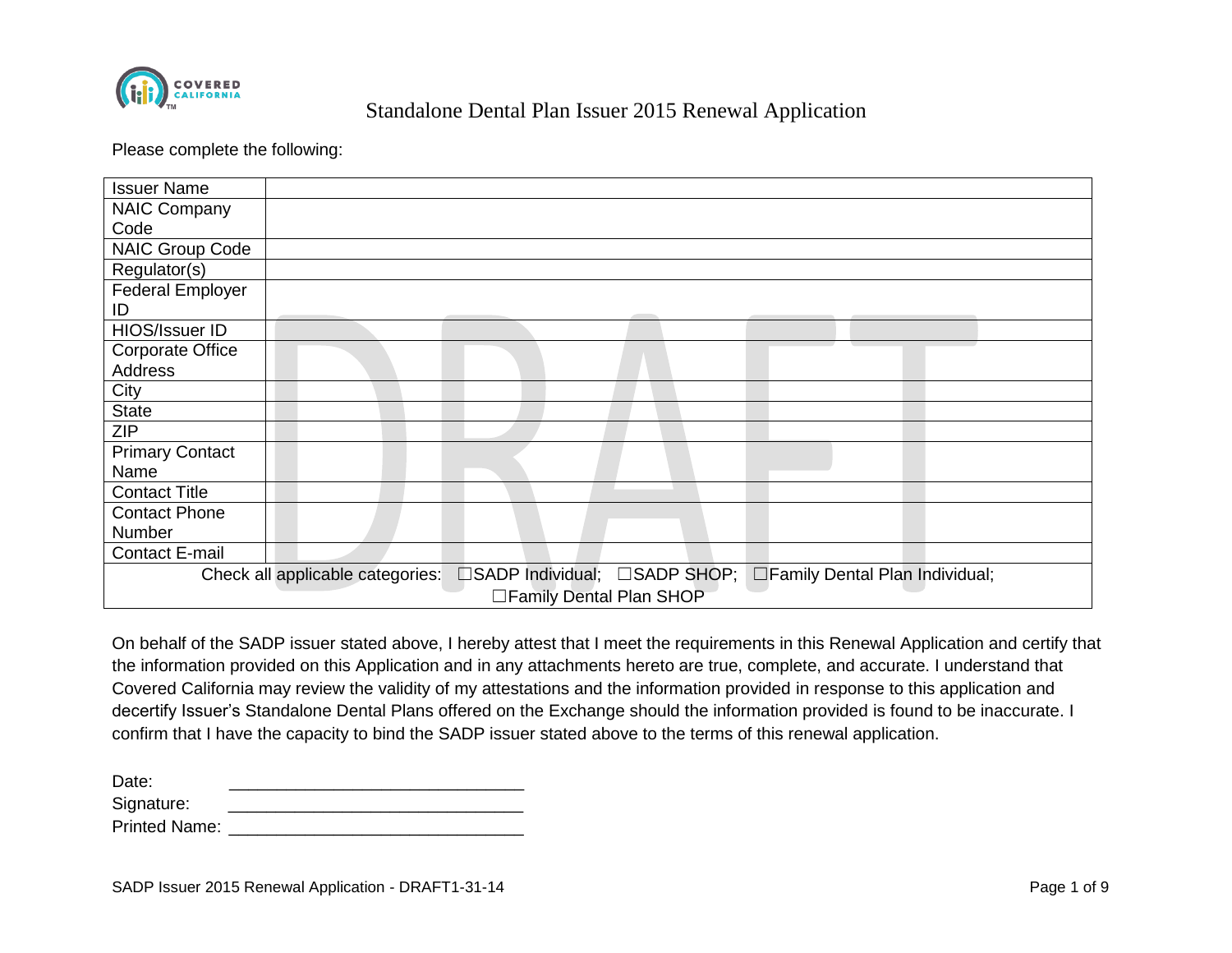

Please complete the following:

| <b>Issuer Name</b>       |                                                                                                   |  |  |  |  |
|--------------------------|---------------------------------------------------------------------------------------------------|--|--|--|--|
| NAIC Company             |                                                                                                   |  |  |  |  |
| Code                     |                                                                                                   |  |  |  |  |
| <b>NAIC Group Code</b>   |                                                                                                   |  |  |  |  |
| Regulator(s)             |                                                                                                   |  |  |  |  |
| <b>Federal Employer</b>  |                                                                                                   |  |  |  |  |
| ID                       |                                                                                                   |  |  |  |  |
| HIOS/Issuer ID           |                                                                                                   |  |  |  |  |
| <b>Corporate Office</b>  |                                                                                                   |  |  |  |  |
| Address                  |                                                                                                   |  |  |  |  |
| City                     |                                                                                                   |  |  |  |  |
| <b>State</b>             |                                                                                                   |  |  |  |  |
| <b>ZIP</b>               |                                                                                                   |  |  |  |  |
| <b>Primary Contact</b>   |                                                                                                   |  |  |  |  |
| Name                     |                                                                                                   |  |  |  |  |
| <b>Contact Title</b>     |                                                                                                   |  |  |  |  |
| <b>Contact Phone</b>     |                                                                                                   |  |  |  |  |
| Number                   |                                                                                                   |  |  |  |  |
| <b>Contact E-mail</b>    |                                                                                                   |  |  |  |  |
|                          | □SADP Individual; □SADP SHOP; □Family Dental Plan Individual;<br>Check all applicable categories: |  |  |  |  |
| □Family Dental Plan SHOP |                                                                                                   |  |  |  |  |

On behalf of the SADP issuer stated above, I hereby attest that I meet the requirements in this Renewal Application and certify that the information provided on this Application and in any attachments hereto are true, complete, and accurate. I understand that Covered California may review the validity of my attestations and the information provided in response to this application and decertify Issuer's Standalone Dental Plans offered on the Exchange should the information provided is found to be inaccurate. I confirm that I have the capacity to bind the SADP issuer stated above to the terms of this renewal application.

Date: \_\_\_\_\_\_\_\_\_\_\_\_\_\_\_\_\_\_\_\_\_\_\_\_\_\_\_\_\_\_\_ Signature: \_\_\_\_\_\_\_\_\_\_\_\_\_\_\_\_\_\_\_\_\_\_\_\_\_\_\_\_\_\_\_

| --                   |  |  |
|----------------------|--|--|
| <b>Printed Name:</b> |  |  |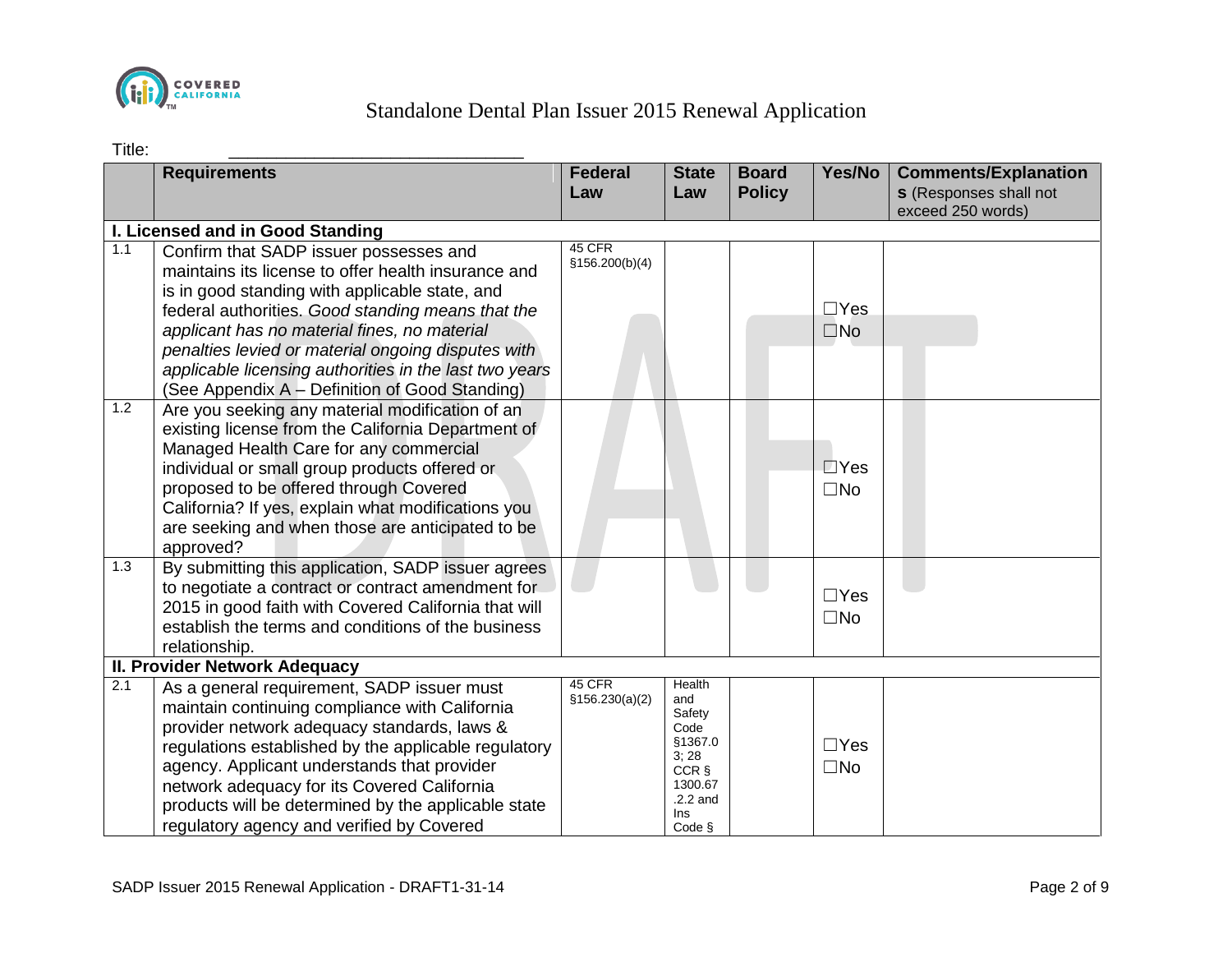

| ×<br>۰ |  |
|--------|--|

| Title:                        |                                                                                                                                                                                                                                                                                                                                                                                                                        |                           |                                                                                                       |                               |                            |                                                                                   |
|-------------------------------|------------------------------------------------------------------------------------------------------------------------------------------------------------------------------------------------------------------------------------------------------------------------------------------------------------------------------------------------------------------------------------------------------------------------|---------------------------|-------------------------------------------------------------------------------------------------------|-------------------------------|----------------------------|-----------------------------------------------------------------------------------|
|                               | <b>Requirements</b>                                                                                                                                                                                                                                                                                                                                                                                                    | <b>Federal</b><br>Law     | <b>State</b><br>Law                                                                                   | <b>Board</b><br><b>Policy</b> | Yes/No                     | <b>Comments/Explanation</b><br><b>s</b> (Responses shall not<br>exceed 250 words) |
|                               | I. Licensed and in Good Standing                                                                                                                                                                                                                                                                                                                                                                                       |                           |                                                                                                       |                               |                            |                                                                                   |
| 1.1                           | Confirm that SADP issuer possesses and<br>maintains its license to offer health insurance and<br>is in good standing with applicable state, and<br>federal authorities. Good standing means that the<br>applicant has no material fines, no material<br>penalties levied or material ongoing disputes with<br>applicable licensing authorities in the last two years<br>(See Appendix A - Definition of Good Standing) | 45 CFR<br>\$156.200(b)(4) |                                                                                                       |                               | $\Box$ Yes<br>$\square$ No |                                                                                   |
| 1.2                           | Are you seeking any material modification of an<br>existing license from the California Department of<br>Managed Health Care for any commercial<br>individual or small group products offered or<br>proposed to be offered through Covered<br>California? If yes, explain what modifications you<br>are seeking and when those are anticipated to be<br>approved?                                                      |                           |                                                                                                       |                               | $\Box$ Yes<br>$\square$ No |                                                                                   |
| 1.3                           | By submitting this application, SADP issuer agrees<br>to negotiate a contract or contract amendment for<br>2015 in good faith with Covered California that will<br>establish the terms and conditions of the business<br>relationship.                                                                                                                                                                                 |                           |                                                                                                       |                               | $\Box$ Yes<br>$\square$ No |                                                                                   |
| II. Provider Network Adequacy |                                                                                                                                                                                                                                                                                                                                                                                                                        |                           |                                                                                                       |                               |                            |                                                                                   |
| 2.1                           | As a general requirement, SADP issuer must<br>maintain continuing compliance with California<br>provider network adequacy standards, laws &<br>regulations established by the applicable regulatory<br>agency. Applicant understands that provider<br>network adequacy for its Covered California<br>products will be determined by the applicable state<br>regulatory agency and verified by Covered                  | 45 CFR<br>\$156.230(a)(2) | Health<br>and<br>Safety<br>Code<br>§1367.0<br>3;28<br>CCR §<br>1300.67<br>$.2.2$ and<br>Ins<br>Code § |                               | $\Box$ Yes<br>$\square$ No |                                                                                   |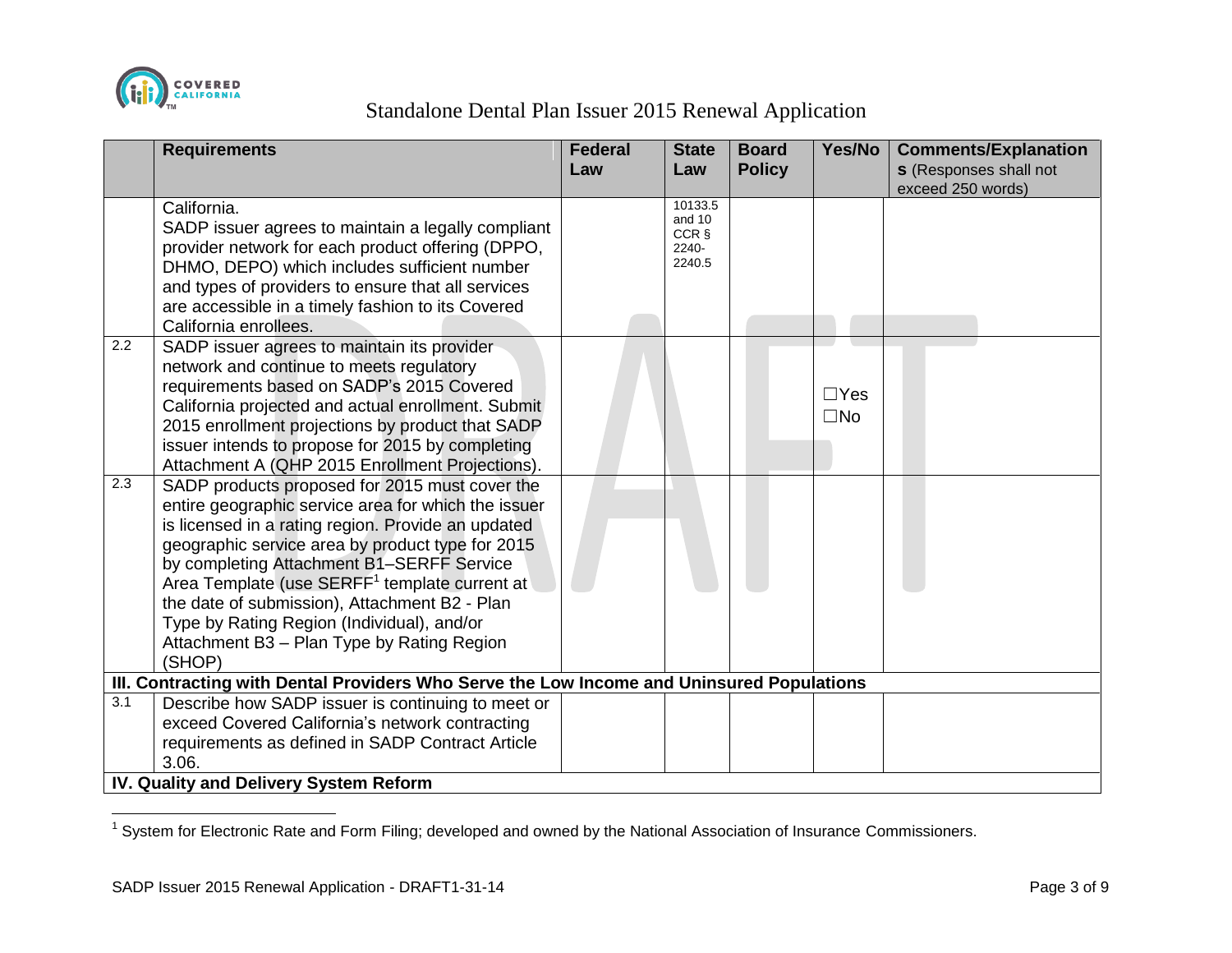

|                  | <b>Requirements</b>                                                                                                                                                                                                                                                                                                                                                                                                                                                              | <b>Federal</b><br>Law | <b>State</b><br>Law                           | <b>Board</b><br><b>Policy</b> | Yes/No                     | <b>Comments/Explanation</b><br><b>s</b> (Responses shall not |
|------------------|----------------------------------------------------------------------------------------------------------------------------------------------------------------------------------------------------------------------------------------------------------------------------------------------------------------------------------------------------------------------------------------------------------------------------------------------------------------------------------|-----------------------|-----------------------------------------------|-------------------------------|----------------------------|--------------------------------------------------------------|
|                  | California.<br>SADP issuer agrees to maintain a legally compliant<br>provider network for each product offering (DPPO,<br>DHMO, DEPO) which includes sufficient number<br>and types of providers to ensure that all services<br>are accessible in a timely fashion to its Covered<br>California enrollees.                                                                                                                                                                       |                       | 10133.5<br>and 10<br>CCR §<br>2240-<br>2240.5 |                               |                            | exceed 250 words)                                            |
| $\overline{2.2}$ | SADP issuer agrees to maintain its provider<br>network and continue to meets regulatory<br>requirements based on SADP's 2015 Covered<br>California projected and actual enrollment. Submit<br>2015 enrollment projections by product that SADP<br>issuer intends to propose for 2015 by completing<br>Attachment A (QHP 2015 Enrollment Projections).                                                                                                                            |                       |                                               |                               | $\Box$ Yes<br>$\square$ No |                                                              |
| $\overline{2.3}$ | SADP products proposed for 2015 must cover the<br>entire geographic service area for which the issuer<br>is licensed in a rating region. Provide an updated<br>geographic service area by product type for 2015<br>by completing Attachment B1-SERFF Service<br>Area Template (use SERFF <sup>1</sup> template current at<br>the date of submission), Attachment B2 - Plan<br>Type by Rating Region (Individual), and/or<br>Attachment B3 - Plan Type by Rating Region<br>(SHOP) |                       |                                               |                               |                            |                                                              |
|                  | III. Contracting with Dental Providers Who Serve the Low Income and Uninsured Populations                                                                                                                                                                                                                                                                                                                                                                                        |                       |                                               |                               |                            |                                                              |
| 3.1              | Describe how SADP issuer is continuing to meet or<br>exceed Covered California's network contracting<br>requirements as defined in SADP Contract Article<br>3.06.<br>IV. Quality and Delivery System Reform                                                                                                                                                                                                                                                                      |                       |                                               |                               |                            |                                                              |
|                  |                                                                                                                                                                                                                                                                                                                                                                                                                                                                                  |                       |                                               |                               |                            |                                                              |

<sup>————————————————————&</sup>lt;br><sup>1</sup> System for Electronic Rate and Form Filing; developed and owned by the National Association of Insurance Commissioners.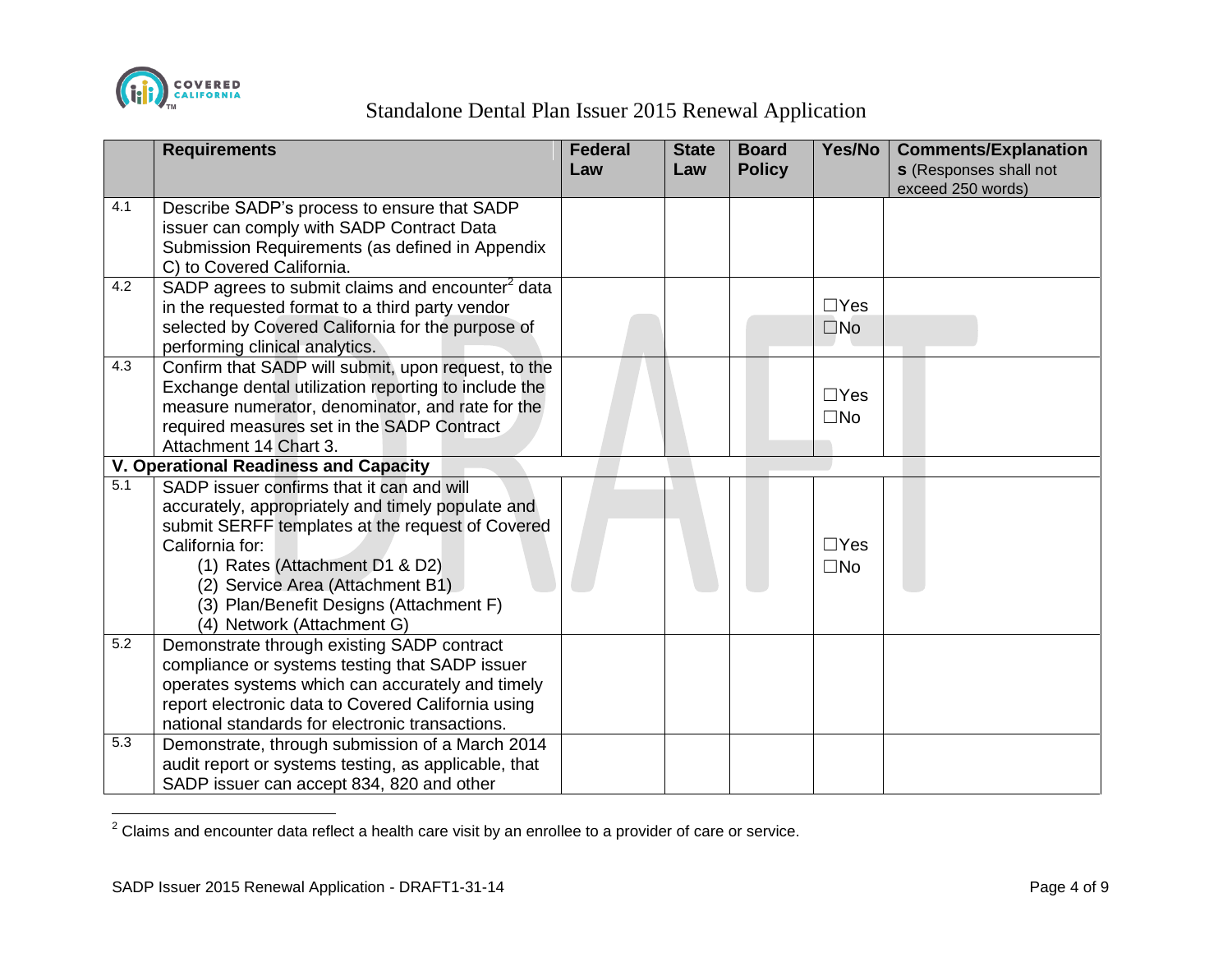

 $\overline{a}$ 

|                  | <b>Requirements</b>                                                 | <b>Federal</b><br>Law | <b>State</b><br>Law | <b>Board</b><br><b>Policy</b> | Yes/No       | <b>Comments/Explanation</b><br><b>s</b> (Responses shall not |
|------------------|---------------------------------------------------------------------|-----------------------|---------------------|-------------------------------|--------------|--------------------------------------------------------------|
| 4.1              | Describe SADP's process to ensure that SADP                         |                       |                     |                               |              | exceed 250 words)                                            |
|                  | issuer can comply with SADP Contract Data                           |                       |                     |                               |              |                                                              |
|                  | Submission Requirements (as defined in Appendix                     |                       |                     |                               |              |                                                              |
|                  | C) to Covered California.                                           |                       |                     |                               |              |                                                              |
| 4.2              | SADP agrees to submit claims and encounter <sup>2</sup> data        |                       |                     |                               |              |                                                              |
|                  | in the requested format to a third party vendor                     |                       |                     |                               | $\Box$ Yes   |                                                              |
|                  | selected by Covered California for the purpose of                   |                       |                     |                               | $\square$ No |                                                              |
|                  | performing clinical analytics.                                      |                       |                     |                               |              |                                                              |
| 4.3              | Confirm that SADP will submit, upon request, to the                 |                       |                     |                               |              |                                                              |
|                  | Exchange dental utilization reporting to include the                |                       |                     |                               | $\Box$ Yes   |                                                              |
|                  | measure numerator, denominator, and rate for the                    |                       |                     |                               | $\square$ No |                                                              |
|                  | required measures set in the SADP Contract                          |                       |                     |                               |              |                                                              |
|                  | Attachment 14 Chart 3.                                              |                       |                     |                               |              |                                                              |
| 5.1              | <b>V. Operational Readiness and Capacity</b>                        |                       |                     |                               |              |                                                              |
|                  | SADP issuer confirms that it can and will                           |                       |                     |                               |              |                                                              |
|                  | accurately, appropriately and timely populate and                   |                       |                     |                               |              |                                                              |
|                  | submit SERFF templates at the request of Covered<br>California for: |                       |                     |                               | $\Box$ Yes   |                                                              |
|                  | (1) Rates (Attachment D1 & D2)                                      |                       |                     |                               | $\square$ No |                                                              |
|                  | (2) Service Area (Attachment B1)                                    |                       |                     |                               |              |                                                              |
|                  | (3) Plan/Benefit Designs (Attachment F)                             |                       |                     |                               |              |                                                              |
|                  | (4) Network (Attachment G)                                          |                       |                     |                               |              |                                                              |
| $\overline{5.2}$ | Demonstrate through existing SADP contract                          |                       |                     |                               |              |                                                              |
|                  | compliance or systems testing that SADP issuer                      |                       |                     |                               |              |                                                              |
|                  | operates systems which can accurately and timely                    |                       |                     |                               |              |                                                              |
|                  | report electronic data to Covered California using                  |                       |                     |                               |              |                                                              |
|                  | national standards for electronic transactions.                     |                       |                     |                               |              |                                                              |
| 5.3              | Demonstrate, through submission of a March 2014                     |                       |                     |                               |              |                                                              |
|                  | audit report or systems testing, as applicable, that                |                       |                     |                               |              |                                                              |
|                  | SADP issuer can accept 834, 820 and other                           |                       |                     |                               |              |                                                              |

 $2$  Claims and encounter data reflect a health care visit by an enrollee to a provider of care or service.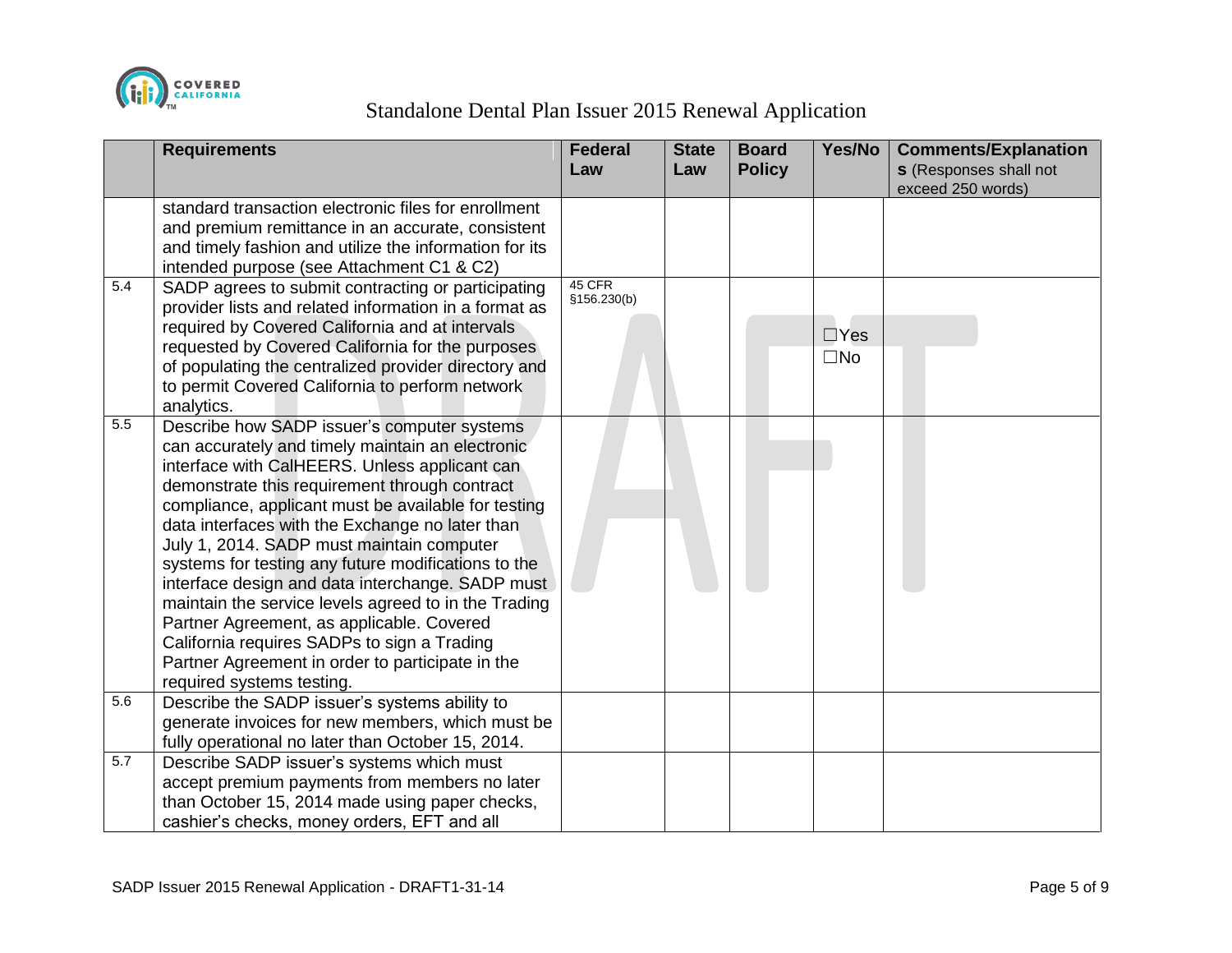

|     | <b>Requirements</b>                                                                                                                                                                                                                                                                                                                                                                                                                                                                                                                                                                                                                                                                                      | <b>Federal</b><br>Law | <b>State</b><br>Law | <b>Board</b><br><b>Policy</b> | Yes/No                     | <b>Comments/Explanation</b><br><b>s</b> (Responses shall not<br>exceed 250 words) |
|-----|----------------------------------------------------------------------------------------------------------------------------------------------------------------------------------------------------------------------------------------------------------------------------------------------------------------------------------------------------------------------------------------------------------------------------------------------------------------------------------------------------------------------------------------------------------------------------------------------------------------------------------------------------------------------------------------------------------|-----------------------|---------------------|-------------------------------|----------------------------|-----------------------------------------------------------------------------------|
|     | standard transaction electronic files for enrollment<br>and premium remittance in an accurate, consistent<br>and timely fashion and utilize the information for its<br>intended purpose (see Attachment C1 & C2)                                                                                                                                                                                                                                                                                                                                                                                                                                                                                         |                       |                     |                               |                            |                                                                                   |
| 5.4 | SADP agrees to submit contracting or participating<br>provider lists and related information in a format as<br>required by Covered California and at intervals<br>requested by Covered California for the purposes<br>of populating the centralized provider directory and<br>to permit Covered California to perform network<br>analytics.                                                                                                                                                                                                                                                                                                                                                              | 45 CFR<br>§156.230(b) |                     |                               | $\Box$ Yes<br>$\square$ No |                                                                                   |
| 5.5 | Describe how SADP issuer's computer systems<br>can accurately and timely maintain an electronic<br>interface with CalHEERS. Unless applicant can<br>demonstrate this requirement through contract<br>compliance, applicant must be available for testing<br>data interfaces with the Exchange no later than<br>July 1, 2014. SADP must maintain computer<br>systems for testing any future modifications to the<br>interface design and data interchange. SADP must<br>maintain the service levels agreed to in the Trading<br>Partner Agreement, as applicable. Covered<br>California requires SADPs to sign a Trading<br>Partner Agreement in order to participate in the<br>required systems testing. |                       |                     |                               |                            |                                                                                   |
| 5.6 | Describe the SADP issuer's systems ability to<br>generate invoices for new members, which must be<br>fully operational no later than October 15, 2014.                                                                                                                                                                                                                                                                                                                                                                                                                                                                                                                                                   |                       |                     |                               |                            |                                                                                   |
| 5.7 | Describe SADP issuer's systems which must<br>accept premium payments from members no later<br>than October 15, 2014 made using paper checks,<br>cashier's checks, money orders, EFT and all                                                                                                                                                                                                                                                                                                                                                                                                                                                                                                              |                       |                     |                               |                            |                                                                                   |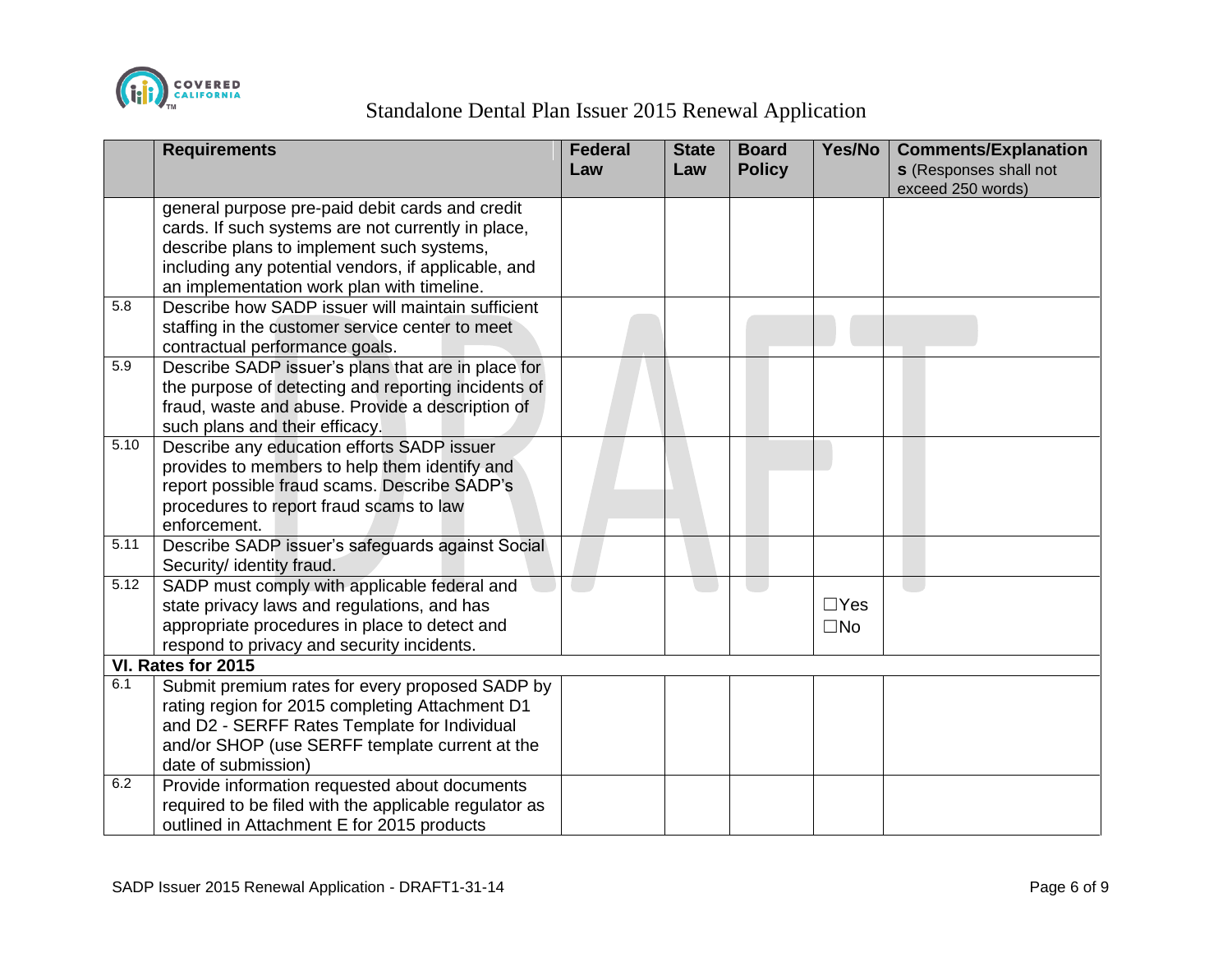

|      | <b>Requirements</b>                                   | <b>Federal</b><br>Law | <b>State</b><br>Law | <b>Board</b><br><b>Policy</b> | Yes/No       | <b>Comments/Explanation</b><br><b>s</b> (Responses shall not |
|------|-------------------------------------------------------|-----------------------|---------------------|-------------------------------|--------------|--------------------------------------------------------------|
|      |                                                       |                       |                     |                               |              | exceed 250 words)                                            |
|      | general purpose pre-paid debit cards and credit       |                       |                     |                               |              |                                                              |
|      | cards. If such systems are not currently in place,    |                       |                     |                               |              |                                                              |
|      | describe plans to implement such systems,             |                       |                     |                               |              |                                                              |
|      | including any potential vendors, if applicable, and   |                       |                     |                               |              |                                                              |
|      | an implementation work plan with timeline.            |                       |                     |                               |              |                                                              |
| 5.8  | Describe how SADP issuer will maintain sufficient     |                       |                     |                               |              |                                                              |
|      | staffing in the customer service center to meet       |                       |                     |                               |              |                                                              |
|      | contractual performance goals.                        |                       |                     |                               |              |                                                              |
| 5.9  | Describe SADP issuer's plans that are in place for    |                       |                     |                               |              |                                                              |
|      | the purpose of detecting and reporting incidents of   |                       |                     |                               |              |                                                              |
|      | fraud, waste and abuse. Provide a description of      |                       |                     |                               |              |                                                              |
|      | such plans and their efficacy.                        |                       |                     |                               |              |                                                              |
| 5.10 | Describe any education efforts SADP issuer            |                       |                     |                               |              |                                                              |
|      | provides to members to help them identify and         |                       |                     |                               |              |                                                              |
|      | report possible fraud scams. Describe SADP's          |                       |                     |                               |              |                                                              |
|      | procedures to report fraud scams to law               |                       |                     |                               |              |                                                              |
|      | enforcement.                                          |                       |                     |                               |              |                                                              |
| 5.11 | Describe SADP issuer's safeguards against Social      |                       |                     |                               |              |                                                              |
|      | Security/ identity fraud.                             |                       |                     |                               |              |                                                              |
| 5.12 | SADP must comply with applicable federal and          |                       |                     |                               |              |                                                              |
|      | state privacy laws and regulations, and has           |                       |                     |                               | $\Box$ Yes   |                                                              |
|      | appropriate procedures in place to detect and         |                       |                     |                               | $\square$ No |                                                              |
|      | respond to privacy and security incidents.            |                       |                     |                               |              |                                                              |
|      | VI. Rates for 2015                                    |                       |                     |                               |              |                                                              |
| 6.1  | Submit premium rates for every proposed SADP by       |                       |                     |                               |              |                                                              |
|      | rating region for 2015 completing Attachment D1       |                       |                     |                               |              |                                                              |
|      | and D2 - SERFF Rates Template for Individual          |                       |                     |                               |              |                                                              |
|      | and/or SHOP (use SERFF template current at the        |                       |                     |                               |              |                                                              |
|      | date of submission)                                   |                       |                     |                               |              |                                                              |
| 6.2  | Provide information requested about documents         |                       |                     |                               |              |                                                              |
|      | required to be filed with the applicable regulator as |                       |                     |                               |              |                                                              |
|      | outlined in Attachment E for 2015 products            |                       |                     |                               |              |                                                              |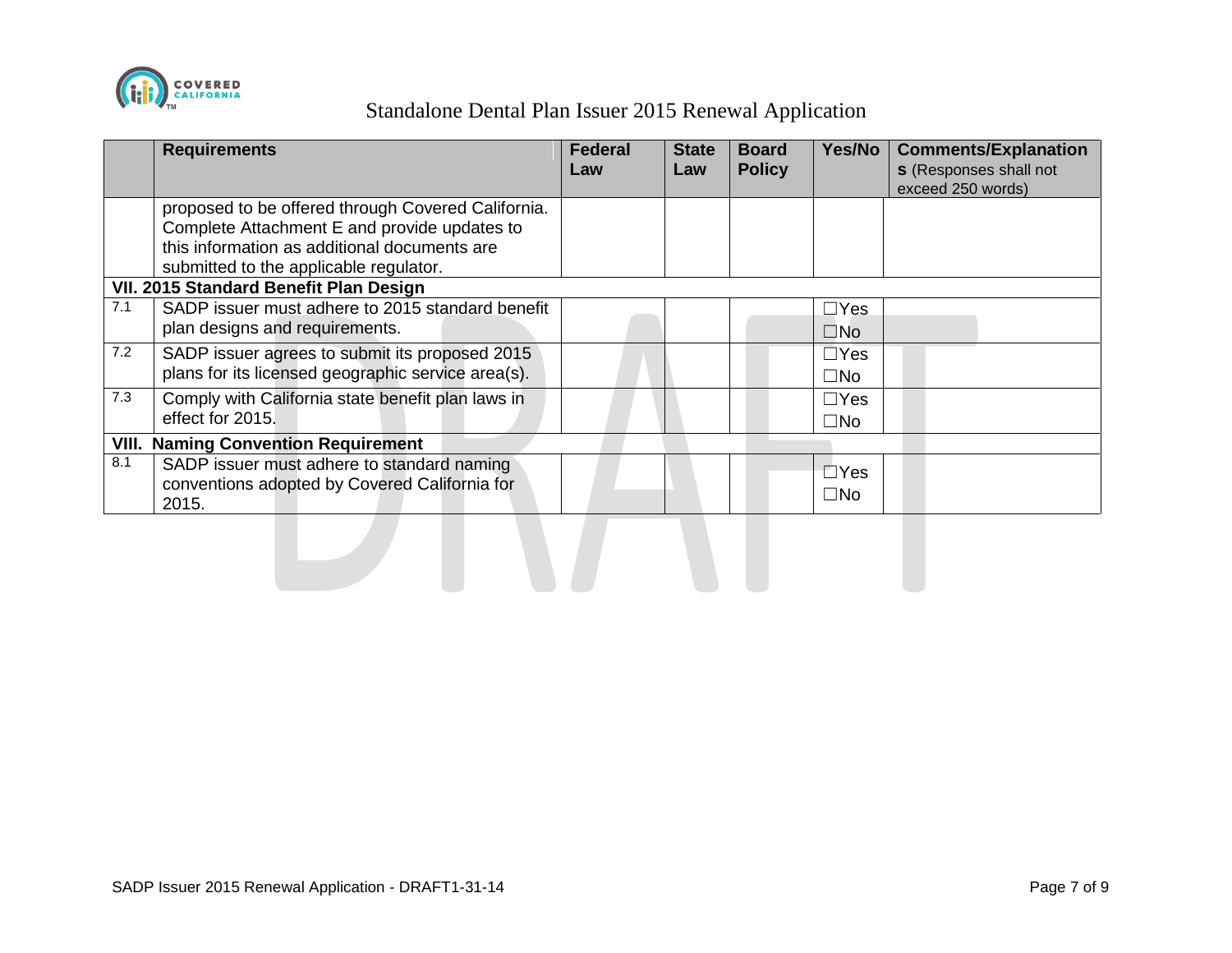

|       | <b>Requirements</b>                                                                                                                                                                          | <b>Federal</b><br>Law | <b>State</b><br>Law | <b>Board</b><br><b>Policy</b> | Yes/No                     | <b>Comments/Explanation</b><br><b>s</b> (Responses shall not<br>exceed 250 words) |
|-------|----------------------------------------------------------------------------------------------------------------------------------------------------------------------------------------------|-----------------------|---------------------|-------------------------------|----------------------------|-----------------------------------------------------------------------------------|
|       | proposed to be offered through Covered California.<br>Complete Attachment E and provide updates to<br>this information as additional documents are<br>submitted to the applicable regulator. |                       |                     |                               |                            |                                                                                   |
|       | VII. 2015 Standard Benefit Plan Design                                                                                                                                                       |                       |                     |                               |                            |                                                                                   |
| 7.1   | SADP issuer must adhere to 2015 standard benefit<br>plan designs and requirements.                                                                                                           |                       |                     |                               | $\Box$ Yes<br>$\square$ No |                                                                                   |
| 7.2   | SADP issuer agrees to submit its proposed 2015<br>plans for its licensed geographic service area(s).                                                                                         |                       |                     |                               | $\Box$ Yes<br>$\square$ No |                                                                                   |
| 7.3   | Comply with California state benefit plan laws in<br>effect for 2015.                                                                                                                        |                       |                     |                               | $\Box$ Yes<br>$\square$ No |                                                                                   |
| VIII. | <b>Naming Convention Requirement</b>                                                                                                                                                         |                       |                     |                               |                            |                                                                                   |
| 8.1   | SADP issuer must adhere to standard naming<br>conventions adopted by Covered California for<br>2015.                                                                                         |                       |                     |                               | $\Box$ Yes<br>$\square$ No |                                                                                   |
|       |                                                                                                                                                                                              |                       |                     |                               |                            |                                                                                   |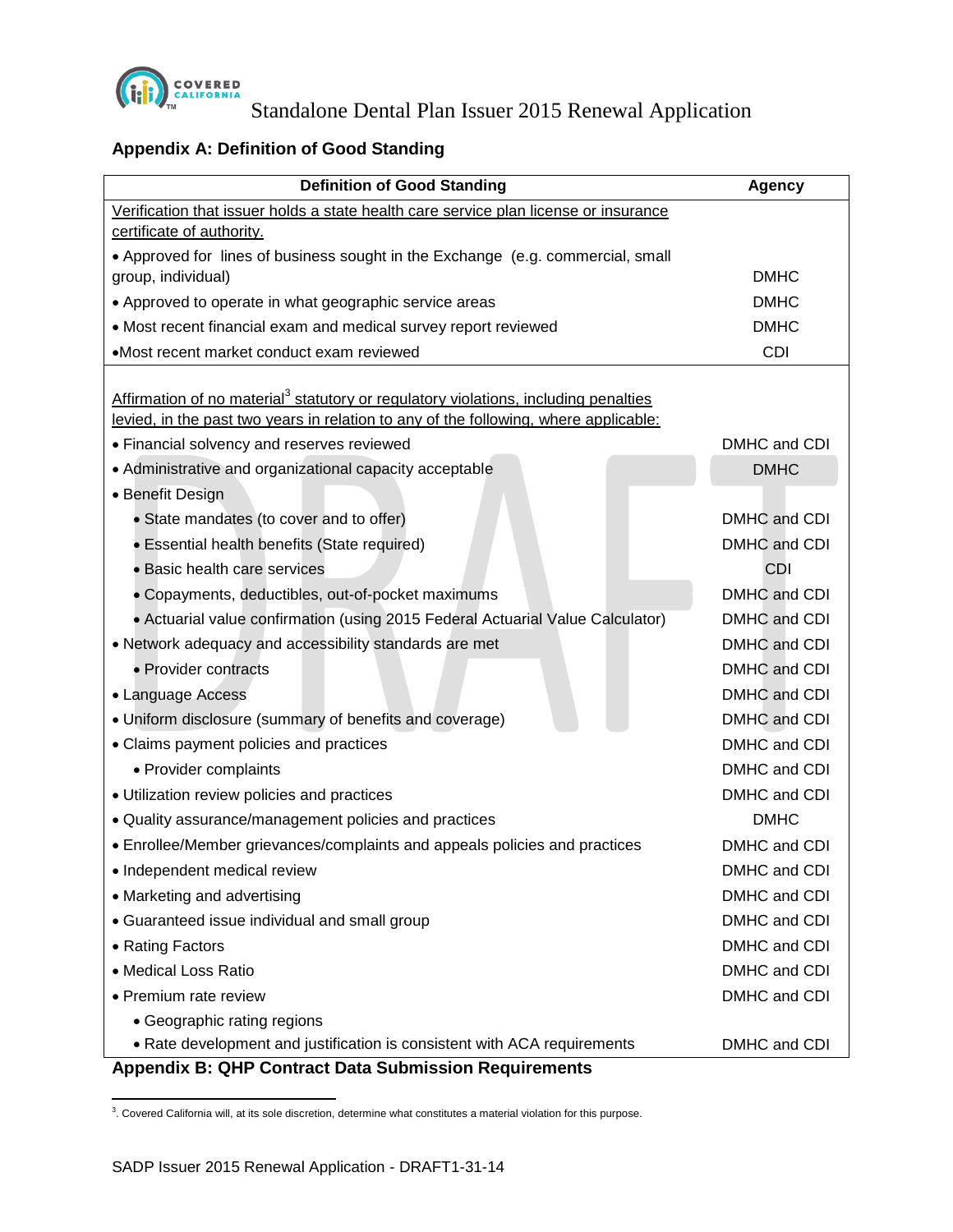

## **Appendix A: Definition of Good Standing**

| <b>Definition of Good Standing</b>                                                                                                                                                      | <b>Agency</b> |
|-----------------------------------------------------------------------------------------------------------------------------------------------------------------------------------------|---------------|
| Verification that issuer holds a state health care service plan license or insurance                                                                                                    |               |
| certificate of authority.                                                                                                                                                               |               |
| • Approved for lines of business sought in the Exchange (e.g. commercial, small                                                                                                         |               |
| group, individual)                                                                                                                                                                      | <b>DMHC</b>   |
| • Approved to operate in what geographic service areas                                                                                                                                  | <b>DMHC</b>   |
| • Most recent financial exam and medical survey report reviewed                                                                                                                         | <b>DMHC</b>   |
| •Most recent market conduct exam reviewed                                                                                                                                               | <b>CDI</b>    |
| Affirmation of no material <sup>3</sup> statutory or regulatory violations, including penalties<br>levied, in the past two years in relation to any of the following, where applicable: |               |
| • Financial solvency and reserves reviewed                                                                                                                                              | DMHC and CDI  |
| • Administrative and organizational capacity acceptable                                                                                                                                 | <b>DMHC</b>   |
| • Benefit Design                                                                                                                                                                        |               |
| • State mandates (to cover and to offer)                                                                                                                                                | DMHC and CDI  |
| • Essential health benefits (State required)                                                                                                                                            | DMHC and CDI  |
| • Basic health care services                                                                                                                                                            | CDI           |
| • Copayments, deductibles, out-of-pocket maximums                                                                                                                                       | DMHC and CDI  |
| • Actuarial value confirmation (using 2015 Federal Actuarial Value Calculator)                                                                                                          | DMHC and CDI  |
| • Network adequacy and accessibility standards are met                                                                                                                                  | DMHC and CDI  |
| • Provider contracts                                                                                                                                                                    | DMHC and CDI  |
| • Language Access                                                                                                                                                                       | DMHC and CDI  |
| • Uniform disclosure (summary of benefits and coverage)                                                                                                                                 | DMHC and CDI  |
| • Claims payment policies and practices                                                                                                                                                 | DMHC and CDI  |
| • Provider complaints                                                                                                                                                                   | DMHC and CDI  |
| · Utilization review policies and practices                                                                                                                                             | DMHC and CDI  |
| • Quality assurance/management policies and practices                                                                                                                                   | <b>DMHC</b>   |
| • Enrollee/Member grievances/complaints and appeals policies and practices                                                                                                              | DMHC and CDI  |
| · Independent medical review                                                                                                                                                            | DMHC and CDI  |
| • Marketing and advertising                                                                                                                                                             | DMHC and CDI  |
| • Guaranteed issue individual and small group                                                                                                                                           | DMHC and CDI  |
| • Rating Factors                                                                                                                                                                        | DMHC and CDI  |
| • Medical Loss Ratio                                                                                                                                                                    | DMHC and CDI  |
| • Premium rate review                                                                                                                                                                   | DMHC and CDI  |
| • Geographic rating regions                                                                                                                                                             |               |
| • Rate development and justification is consistent with ACA requirements                                                                                                                | DMHC and CDI  |
| <b>Appendix B: QHP Contract Data Submission Requirements</b>                                                                                                                            |               |

 3 . Covered California will, at its sole discretion, determine what constitutes a material violation for this purpose.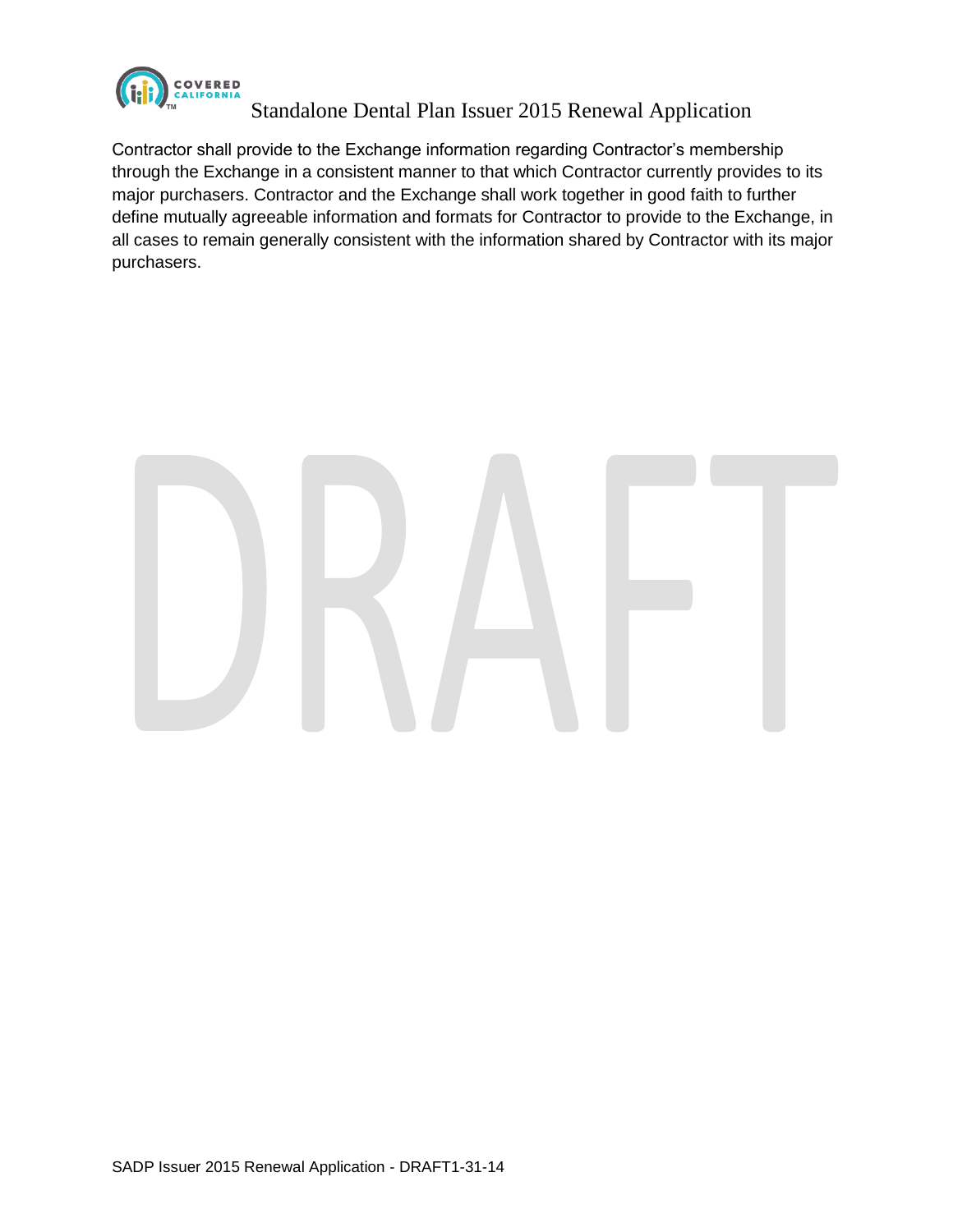

Contractor shall provide to the Exchange information regarding Contractor's membership through the Exchange in a consistent manner to that which Contractor currently provides to its major purchasers. Contractor and the Exchange shall work together in good faith to further define mutually agreeable information and formats for Contractor to provide to the Exchange, in all cases to remain generally consistent with the information shared by Contractor with its major purchasers.

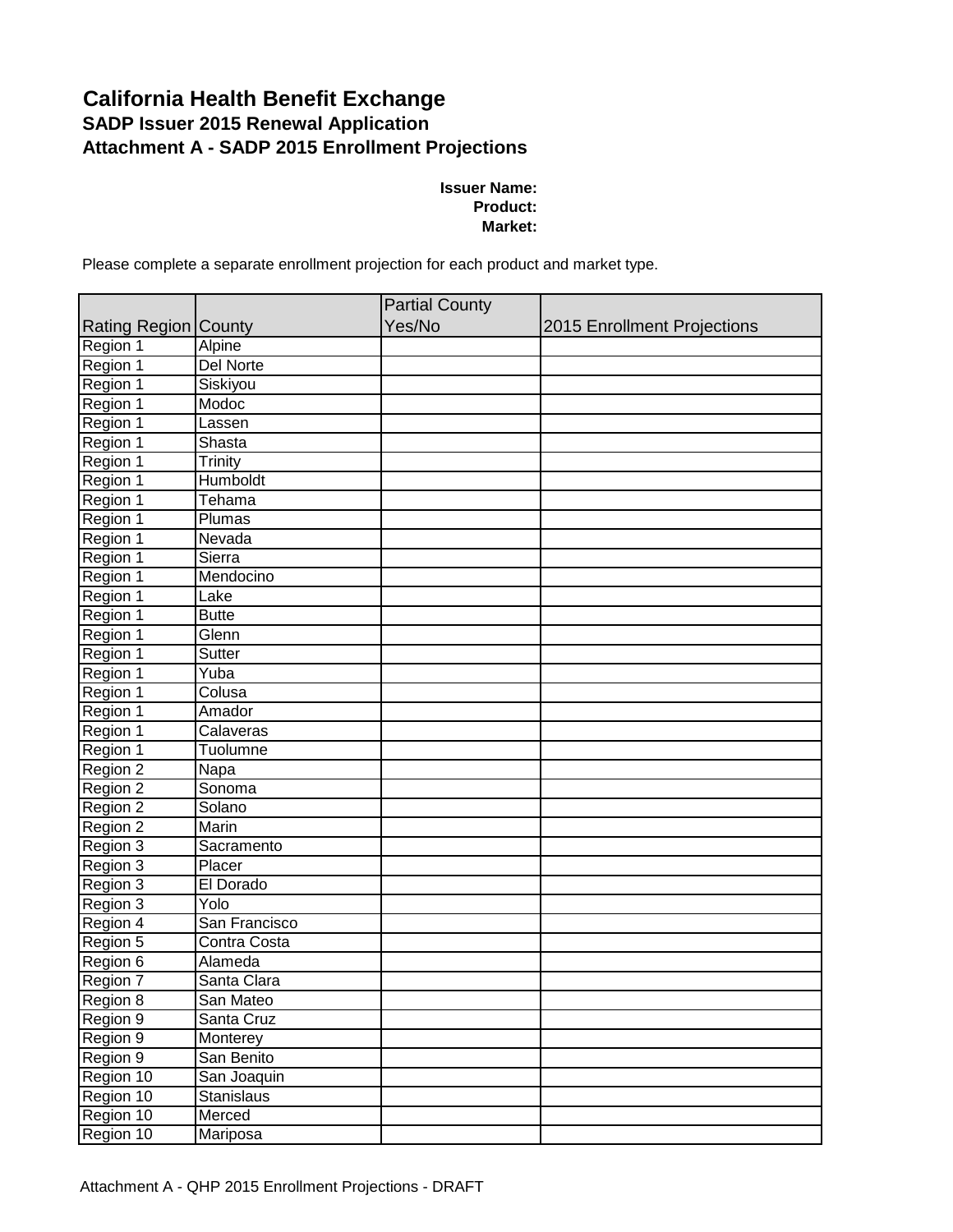## **California Health Benefit Exchange SADP Issuer 2015 Renewal Application Attachment A - SADP 2015 Enrollment Projections**

#### **Issuer Name: Product: Market:**

Please complete a separate enrollment projection for each product and market type.

|                             |                   | <b>Partial County</b> |                             |
|-----------------------------|-------------------|-----------------------|-----------------------------|
| <b>Rating Region County</b> |                   | Yes/No                | 2015 Enrollment Projections |
| Region 1                    | Alpine            |                       |                             |
| Region 1                    | Del Norte         |                       |                             |
| Region 1                    | Siskiyou          |                       |                             |
| Region 1                    | Modoc             |                       |                             |
| Region 1                    | Lassen            |                       |                             |
| Region 1                    | Shasta            |                       |                             |
| Region 1                    | Trinity           |                       |                             |
| Region 1                    | <b>Humboldt</b>   |                       |                             |
| Region 1                    | <b>Tehama</b>     |                       |                             |
| Region 1                    | Plumas            |                       |                             |
| Region 1                    | Nevada            |                       |                             |
| Region 1                    | Sierra            |                       |                             |
| Region 1                    | Mendocino         |                       |                             |
| Region 1                    | Lake              |                       |                             |
| Region 1                    | <b>Butte</b>      |                       |                             |
| Region 1                    | Glenn             |                       |                             |
| Region 1                    | <b>Sutter</b>     |                       |                             |
| Region 1                    | Yuba              |                       |                             |
| Region 1                    | Colusa            |                       |                             |
| Region 1                    | Amador            |                       |                             |
| Region 1                    | Calaveras         |                       |                             |
| Region 1                    | Tuolumne          |                       |                             |
| Region 2                    | Napa              |                       |                             |
| Region 2                    | Sonoma            |                       |                             |
| Region 2                    | Solano            |                       |                             |
| Region 2                    | Marin             |                       |                             |
| Region 3                    | Sacramento        |                       |                             |
| Region 3                    | Placer            |                       |                             |
| Region 3                    | El Dorado         |                       |                             |
| Region 3                    | Yolo              |                       |                             |
| Region 4                    | San Francisco     |                       |                             |
| Region 5                    | Contra Costa      |                       |                             |
| Region 6                    | Alameda           |                       |                             |
| Region 7                    | Santa Clara       |                       |                             |
| Region 8                    | San Mateo         |                       |                             |
| Region 9                    | Santa Cruz        |                       |                             |
| Region 9                    | Monterey          |                       |                             |
| Region 9                    | San Benito        |                       |                             |
| Region 10                   | San Joaquin       |                       |                             |
| Region 10                   | <b>Stanislaus</b> |                       |                             |
| Region 10                   | Merced            |                       |                             |
| Region 10                   | Mariposa          |                       |                             |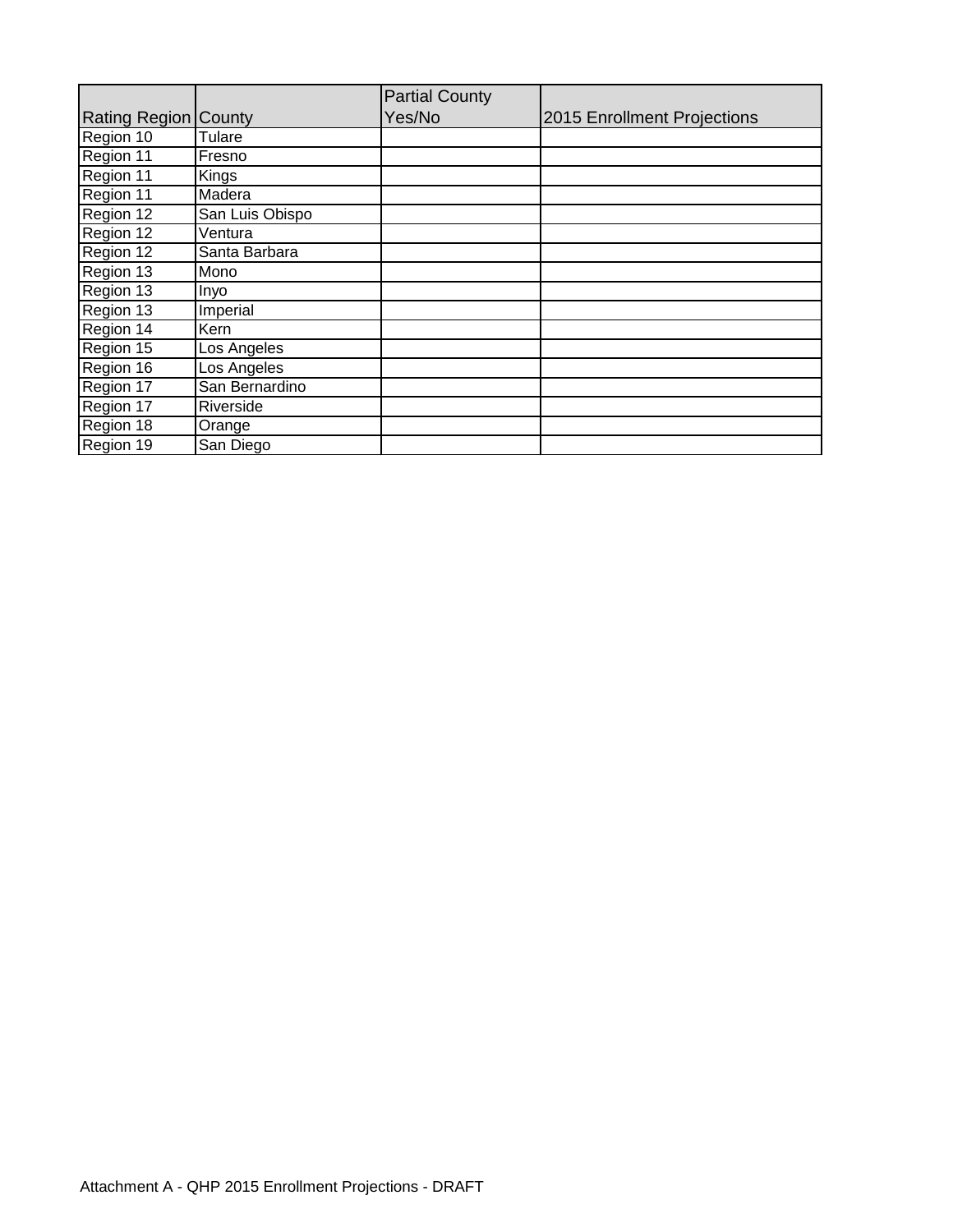|                             |                 | <b>Partial County</b> |                             |
|-----------------------------|-----------------|-----------------------|-----------------------------|
| <b>Rating Region County</b> |                 | Yes/No                | 2015 Enrollment Projections |
| Region 10                   | Tulare          |                       |                             |
| Region 11                   | Fresno          |                       |                             |
| Region 11                   | Kings           |                       |                             |
| Region 11                   | Madera          |                       |                             |
| Region 12                   | San Luis Obispo |                       |                             |
| Region 12                   | Ventura         |                       |                             |
| Region 12                   | Santa Barbara   |                       |                             |
| Region 13                   | Mono            |                       |                             |
| Region 13                   | Inyo            |                       |                             |
| Region 13                   | Imperial        |                       |                             |
| Region 14                   | Kern            |                       |                             |
| Region 15                   | Los Angeles     |                       |                             |
| Region 16                   | Los Angeles     |                       |                             |
| Region 17                   | San Bernardino  |                       |                             |
| Region 17                   | Riverside       |                       |                             |
| Region 18                   | Orange          |                       |                             |
| Region 19                   | San Diego       |                       |                             |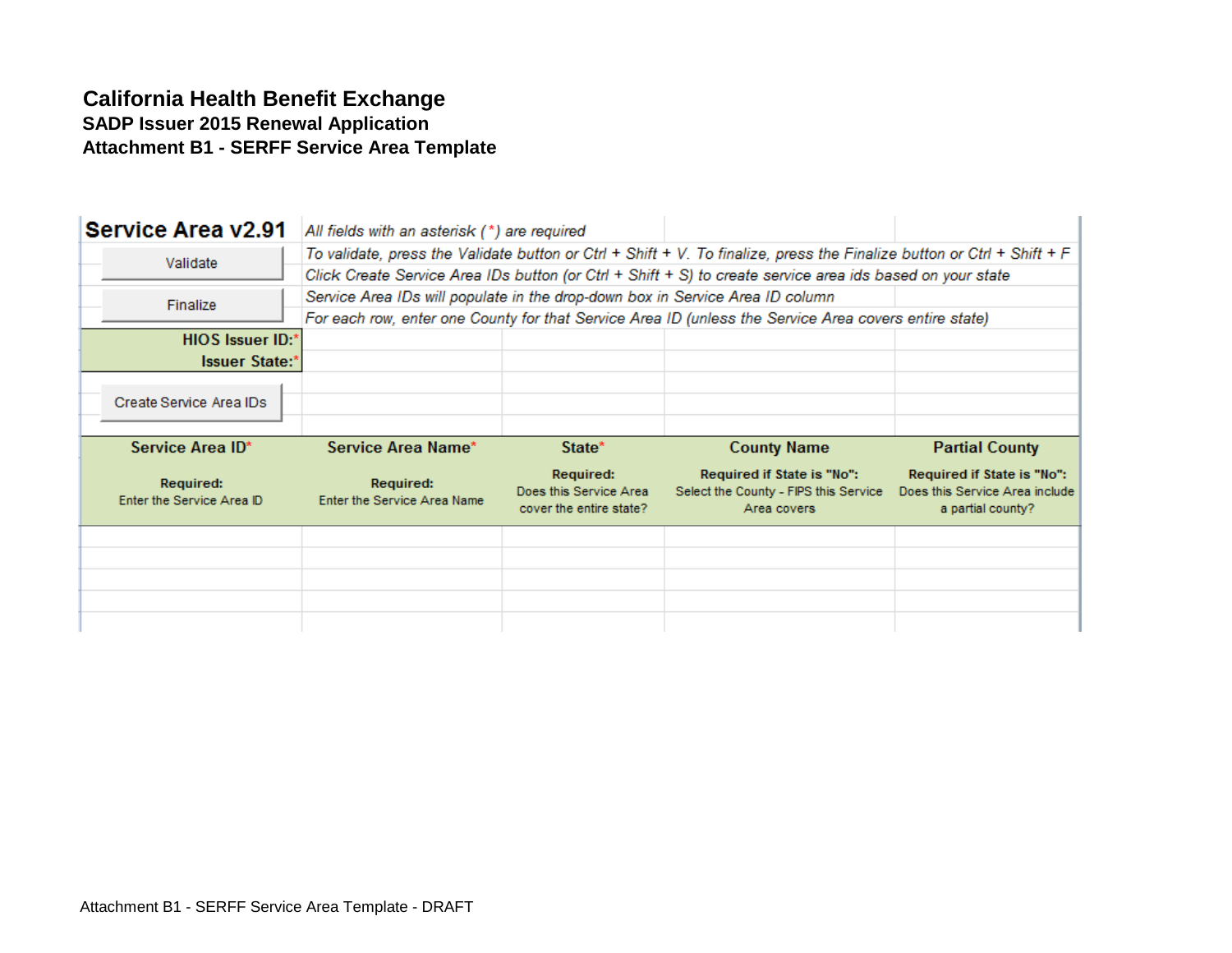## **California Health Benefit Exchange SADP Issuer 2015 Renewal Application Attachment B1 - SERFF Service Area Template**

| <b>Service Area v2.91</b>              | All fields with an asterisk (*) are required                                  |                                                                |                                                                                                                        |                                                                                   |
|----------------------------------------|-------------------------------------------------------------------------------|----------------------------------------------------------------|------------------------------------------------------------------------------------------------------------------------|-----------------------------------------------------------------------------------|
| Validate                               |                                                                               |                                                                | To validate, press the Validate button or Ctrl + Shift + V. To finalize, press the Finalize button or Ctrl + Shift + F |                                                                                   |
|                                        |                                                                               |                                                                | Click Create Service Area IDs button (or Ctrl + Shift + S) to create service area ids based on your state              |                                                                                   |
| Finalize                               | Service Area IDs will populate in the drop-down box in Service Area ID column |                                                                |                                                                                                                        |                                                                                   |
|                                        |                                                                               |                                                                | For each row, enter one County for that Service Area ID (unless the Service Area covers entire state)                  |                                                                                   |
| <b>HIOS Issuer ID:*</b>                |                                                                               |                                                                |                                                                                                                        |                                                                                   |
| <b>Issuer State:*</b>                  |                                                                               |                                                                |                                                                                                                        |                                                                                   |
| Create Service Area IDs                |                                                                               |                                                                |                                                                                                                        |                                                                                   |
|                                        |                                                                               |                                                                |                                                                                                                        |                                                                                   |
| Service Area ID*                       | Service Area Name*                                                            | State*                                                         | <b>County Name</b>                                                                                                     | <b>Partial County</b>                                                             |
| Required:<br>Enter the Service Area ID | Required:<br>Enter the Service Area Name                                      | Required:<br>Does this Service Area<br>cover the entire state? | Required if State is "No":<br>Select the County - FIPS this Service<br>Area covers                                     | Required if State is "No":<br>Does this Service Area include<br>a partial county? |
|                                        |                                                                               |                                                                |                                                                                                                        |                                                                                   |
|                                        |                                                                               |                                                                |                                                                                                                        |                                                                                   |
|                                        |                                                                               |                                                                |                                                                                                                        |                                                                                   |
|                                        |                                                                               |                                                                |                                                                                                                        |                                                                                   |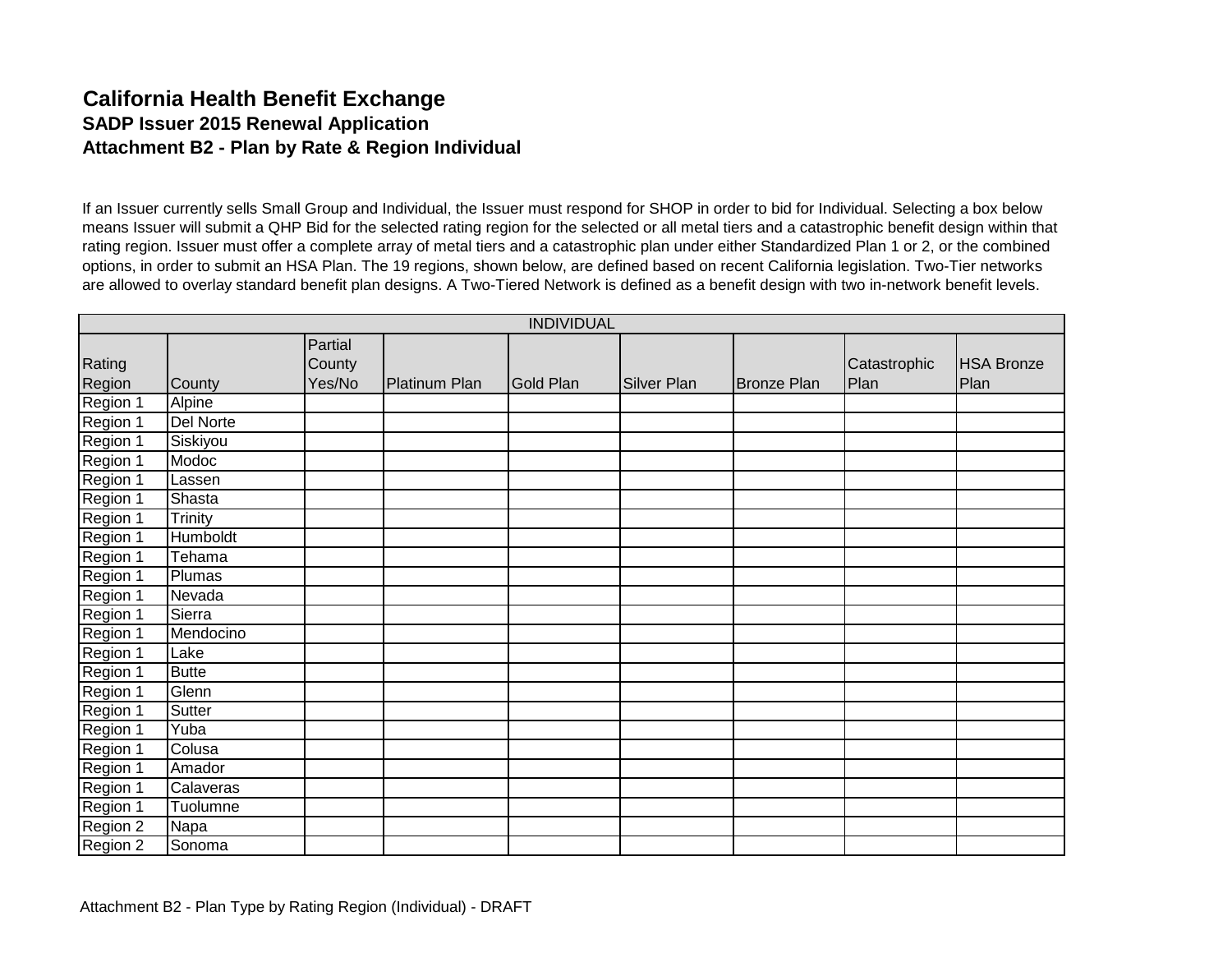## **California Health Benefit Exchange SADP Issuer 2015 Renewal Application Attachment B2 - Plan by Rate & Region Individual**

If an Issuer currently sells Small Group and Individual, the Issuer must respond for SHOP in order to bid for Individual. Selecting a box below means Issuer will submit a QHP Bid for the selected rating region for the selected or all metal tiers and a catastrophic benefit design within that rating region. Issuer must offer a complete array of metal tiers and a catastrophic plan under either Standardized Plan 1 or 2, or the combined options, in order to submit an HSA Plan. The 19 regions, shown below, are defined based on recent California legislation. Two-Tier networks are allowed to overlay standard benefit plan designs. A Two-Tiered Network is defined as a benefit design with two in-network benefit levels.

|                  |                  |                             |               | <b>INDIVIDUAL</b> |             |                    |                      |                           |
|------------------|------------------|-----------------------------|---------------|-------------------|-------------|--------------------|----------------------|---------------------------|
| Rating<br>Region | County           | Partial<br>County<br>Yes/No | Platinum Plan | <b>Gold Plan</b>  | Silver Plan | <b>Bronze Plan</b> | Catastrophic<br>Plan | <b>HSA Bronze</b><br>Plan |
| Region 1         | Alpine           |                             |               |                   |             |                    |                      |                           |
| Region 1         | <b>Del Norte</b> |                             |               |                   |             |                    |                      |                           |
| Region 1         | Siskiyou         |                             |               |                   |             |                    |                      |                           |
| Region 1         | Modoc            |                             |               |                   |             |                    |                      |                           |
| Region 1         | Lassen           |                             |               |                   |             |                    |                      |                           |
| Region 1         | Shasta           |                             |               |                   |             |                    |                      |                           |
| Region 1         | Trinity          |                             |               |                   |             |                    |                      |                           |
| Region 1         | <b>Humboldt</b>  |                             |               |                   |             |                    |                      |                           |
| Region 1         | Tehama           |                             |               |                   |             |                    |                      |                           |
| Region 1         | Plumas           |                             |               |                   |             |                    |                      |                           |
| Region 1         | Nevada           |                             |               |                   |             |                    |                      |                           |
| Region 1         | Sierra           |                             |               |                   |             |                    |                      |                           |
| Region 1         | Mendocino        |                             |               |                   |             |                    |                      |                           |
| Region 1         | Lake             |                             |               |                   |             |                    |                      |                           |
| Region 1         | <b>Butte</b>     |                             |               |                   |             |                    |                      |                           |
| Region 1         | Glenn            |                             |               |                   |             |                    |                      |                           |
| Region 1         | Sutter           |                             |               |                   |             |                    |                      |                           |
| Region 1         | Yuba             |                             |               |                   |             |                    |                      |                           |
| Region 1         | Colusa           |                             |               |                   |             |                    |                      |                           |
| Region 1         | Amador           |                             |               |                   |             |                    |                      |                           |
| Region 1         | Calaveras        |                             |               |                   |             |                    |                      |                           |
| Region 1         | Tuolumne         |                             |               |                   |             |                    |                      |                           |
| Region 2         | Napa             |                             |               |                   |             |                    |                      |                           |
| Region 2         | Sonoma           |                             |               |                   |             |                    |                      |                           |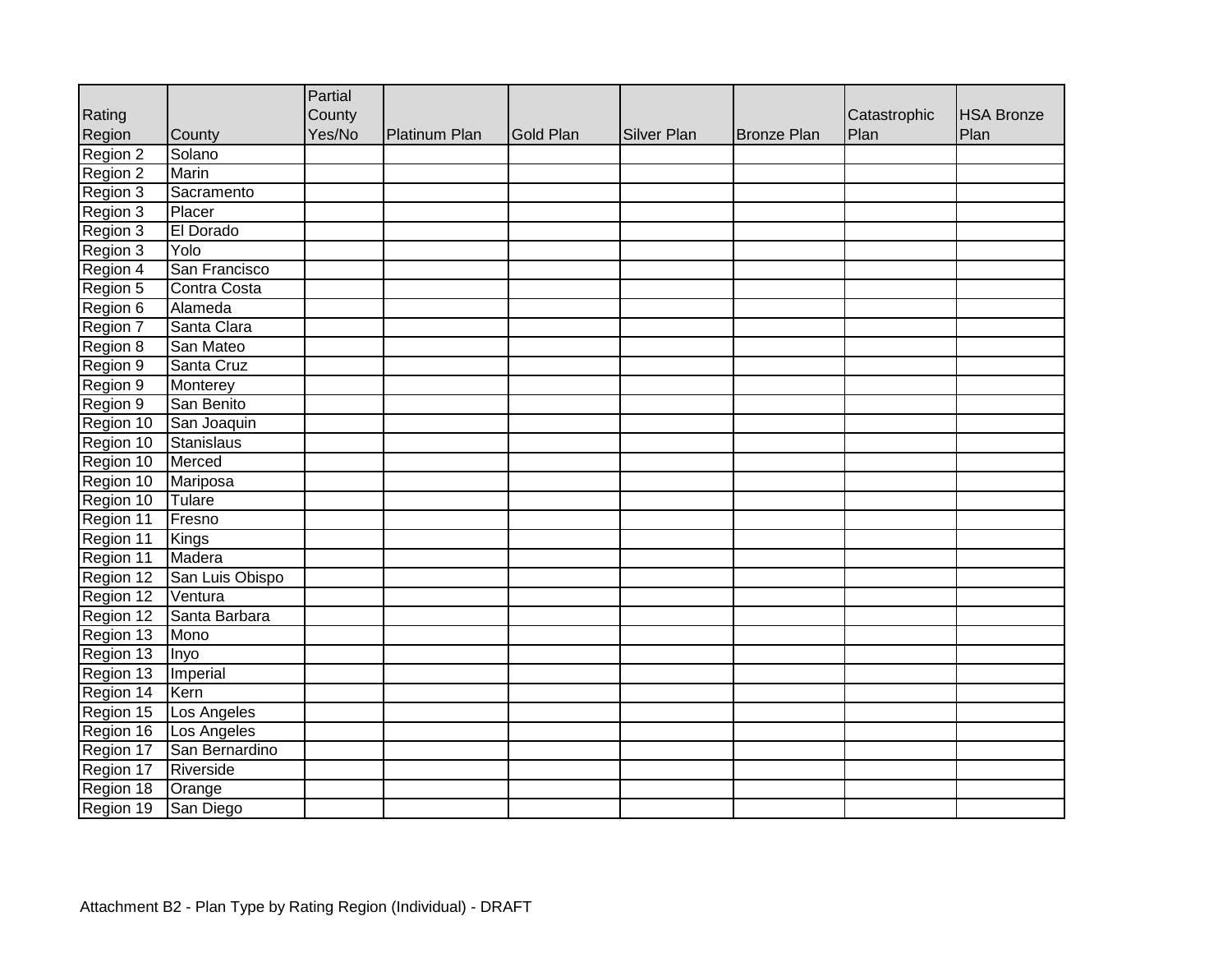|           |                 | Partial |               |                  |             |                    |              |                   |
|-----------|-----------------|---------|---------------|------------------|-------------|--------------------|--------------|-------------------|
| Rating    |                 | County  |               |                  |             |                    | Catastrophic | <b>HSA Bronze</b> |
| Region    | County          | Yes/No  | Platinum Plan | <b>Gold Plan</b> | Silver Plan | <b>Bronze Plan</b> | Plan         | Plan              |
| Region 2  | Solano          |         |               |                  |             |                    |              |                   |
| Region 2  | Marin           |         |               |                  |             |                    |              |                   |
| Region 3  | Sacramento      |         |               |                  |             |                    |              |                   |
| Region 3  | Placer          |         |               |                  |             |                    |              |                   |
| Region 3  | El Dorado       |         |               |                  |             |                    |              |                   |
| Region 3  | Yolo            |         |               |                  |             |                    |              |                   |
| Region 4  | San Francisco   |         |               |                  |             |                    |              |                   |
| Region 5  | Contra Costa    |         |               |                  |             |                    |              |                   |
| Region 6  | Alameda         |         |               |                  |             |                    |              |                   |
| Region 7  | Santa Clara     |         |               |                  |             |                    |              |                   |
| Region 8  | San Mateo       |         |               |                  |             |                    |              |                   |
| Region 9  | Santa Cruz      |         |               |                  |             |                    |              |                   |
| Region 9  | Monterey        |         |               |                  |             |                    |              |                   |
| Region 9  | San Benito      |         |               |                  |             |                    |              |                   |
| Region 10 | San Joaquin     |         |               |                  |             |                    |              |                   |
| Region 10 | Stanislaus      |         |               |                  |             |                    |              |                   |
| Region 10 | Merced          |         |               |                  |             |                    |              |                   |
| Region 10 | Mariposa        |         |               |                  |             |                    |              |                   |
| Region 10 | Tulare          |         |               |                  |             |                    |              |                   |
| Region 11 | Fresno          |         |               |                  |             |                    |              |                   |
| Region 11 | Kings           |         |               |                  |             |                    |              |                   |
| Region 11 | Madera          |         |               |                  |             |                    |              |                   |
| Region 12 | San Luis Obispo |         |               |                  |             |                    |              |                   |
| Region 12 | Ventura         |         |               |                  |             |                    |              |                   |
| Region 12 | Santa Barbara   |         |               |                  |             |                    |              |                   |
| Region 13 | Mono            |         |               |                  |             |                    |              |                   |
| Region 13 | Inyo            |         |               |                  |             |                    |              |                   |
| Region 13 | Imperial        |         |               |                  |             |                    |              |                   |
| Region 14 | Kern            |         |               |                  |             |                    |              |                   |
| Region 15 | Los Angeles     |         |               |                  |             |                    |              |                   |
| Region 16 | Los Angeles     |         |               |                  |             |                    |              |                   |
| Region 17 | San Bernardino  |         |               |                  |             |                    |              |                   |
| Region 17 | Riverside       |         |               |                  |             |                    |              |                   |
| Region 18 | Orange          |         |               |                  |             |                    |              |                   |
| Region 19 | San Diego       |         |               |                  |             |                    |              |                   |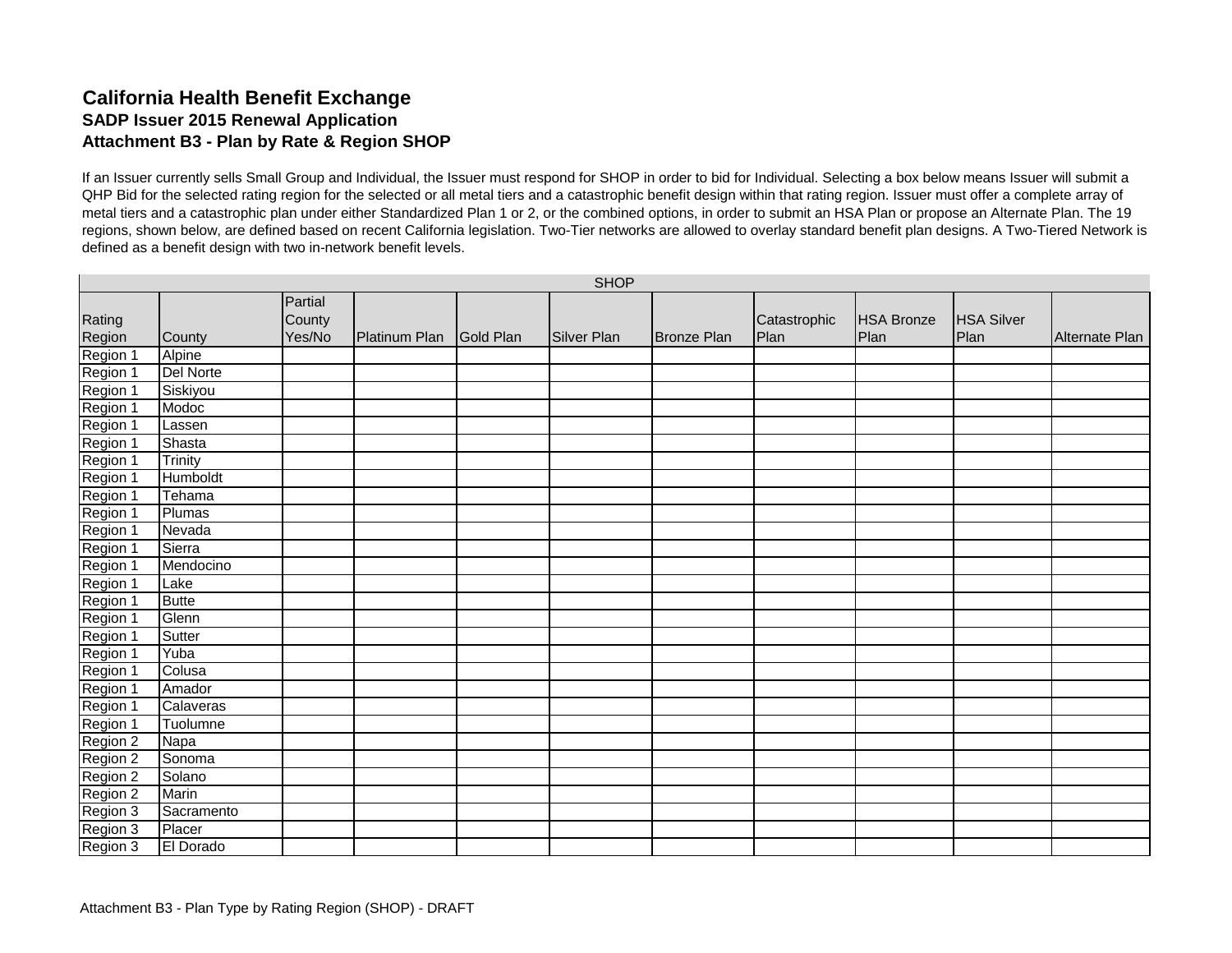### **California Health Benefit Exchange SADP Issuer 2015 Renewal Application Attachment B3 - Plan by Rate & Region SHOP**

If an Issuer currently sells Small Group and Individual, the Issuer must respond for SHOP in order to bid for Individual. Selecting a box below means Issuer will submit a QHP Bid for the selected rating region for the selected or all metal tiers and a catastrophic benefit design within that rating region. Issuer must offer a complete array of metal tiers and a catastrophic plan under either Standardized Plan 1 or 2, or the combined options, in order to submit an HSA Plan or propose an Alternate Plan. The 19 regions, shown below, are defined based on recent California legislation. Two-Tier networks are allowed to overlay standard benefit plan designs. A Two-Tiered Network is defined as a benefit design with two in-network benefit levels.

|                                  |                  |                   |               |           | <b>SHOP</b>        |                    |              |                   |                   |                |
|----------------------------------|------------------|-------------------|---------------|-----------|--------------------|--------------------|--------------|-------------------|-------------------|----------------|
| Rating                           |                  | Partial<br>County |               |           |                    |                    | Catastrophic | <b>HSA Bronze</b> | <b>HSA Silver</b> |                |
| Region                           | County           | Yes/No            | Platinum Plan | Gold Plan | <b>Silver Plan</b> | <b>Bronze Plan</b> | Plan         | Plan              | Plan              | Alternate Plan |
| Region 1                         | Alpine           |                   |               |           |                    |                    |              |                   |                   |                |
| Region 1                         | <b>Del Norte</b> |                   |               |           |                    |                    |              |                   |                   |                |
| Region 1<br>Region 1             | Siskiyou         |                   |               |           |                    |                    |              |                   |                   |                |
|                                  | Modoc            |                   |               |           |                    |                    |              |                   |                   |                |
| Region 1                         | Lassen           |                   |               |           |                    |                    |              |                   |                   |                |
|                                  | Shasta           |                   |               |           |                    |                    |              |                   |                   |                |
|                                  | Trinity          |                   |               |           |                    |                    |              |                   |                   |                |
| Region 1<br>Region 1<br>Region 1 | Humboldt         |                   |               |           |                    |                    |              |                   |                   |                |
| Region 1                         | Tehama           |                   |               |           |                    |                    |              |                   |                   |                |
| Region 1                         | Plumas           |                   |               |           |                    |                    |              |                   |                   |                |
| Region 1                         | Nevada           |                   |               |           |                    |                    |              |                   |                   |                |
| Region 1                         | Sierra           |                   |               |           |                    |                    |              |                   |                   |                |
| Region 1                         | Mendocino        |                   |               |           |                    |                    |              |                   |                   |                |
|                                  | Lake             |                   |               |           |                    |                    |              |                   |                   |                |
| Region 1<br>Region 1<br>Region 1 | <b>Butte</b>     |                   |               |           |                    |                    |              |                   |                   |                |
|                                  | Glenn            |                   |               |           |                    |                    |              |                   |                   |                |
| Region 1                         | Sutter           |                   |               |           |                    |                    |              |                   |                   |                |
|                                  | Yuba             |                   |               |           |                    |                    |              |                   |                   |                |
| Region 1<br>Region 1             | Colusa           |                   |               |           |                    |                    |              |                   |                   |                |
| Region 1                         | Amador           |                   |               |           |                    |                    |              |                   |                   |                |
| Region 1                         | Calaveras        |                   |               |           |                    |                    |              |                   |                   |                |
| Region 1<br>Region 2<br>Region 2 | Tuolumne         |                   |               |           |                    |                    |              |                   |                   |                |
|                                  | Napa             |                   |               |           |                    |                    |              |                   |                   |                |
|                                  | Sonoma           |                   |               |           |                    |                    |              |                   |                   |                |
| Region 2                         | Solano           |                   |               |           |                    |                    |              |                   |                   |                |
| Region 2<br>Region 3             | <b>Marin</b>     |                   |               |           |                    |                    |              |                   |                   |                |
|                                  | Sacramento       |                   |               |           |                    |                    |              |                   |                   |                |
| Region 3                         | Placer           |                   |               |           |                    |                    |              |                   |                   |                |
| Region 3                         | El Dorado        |                   |               |           |                    |                    |              |                   |                   |                |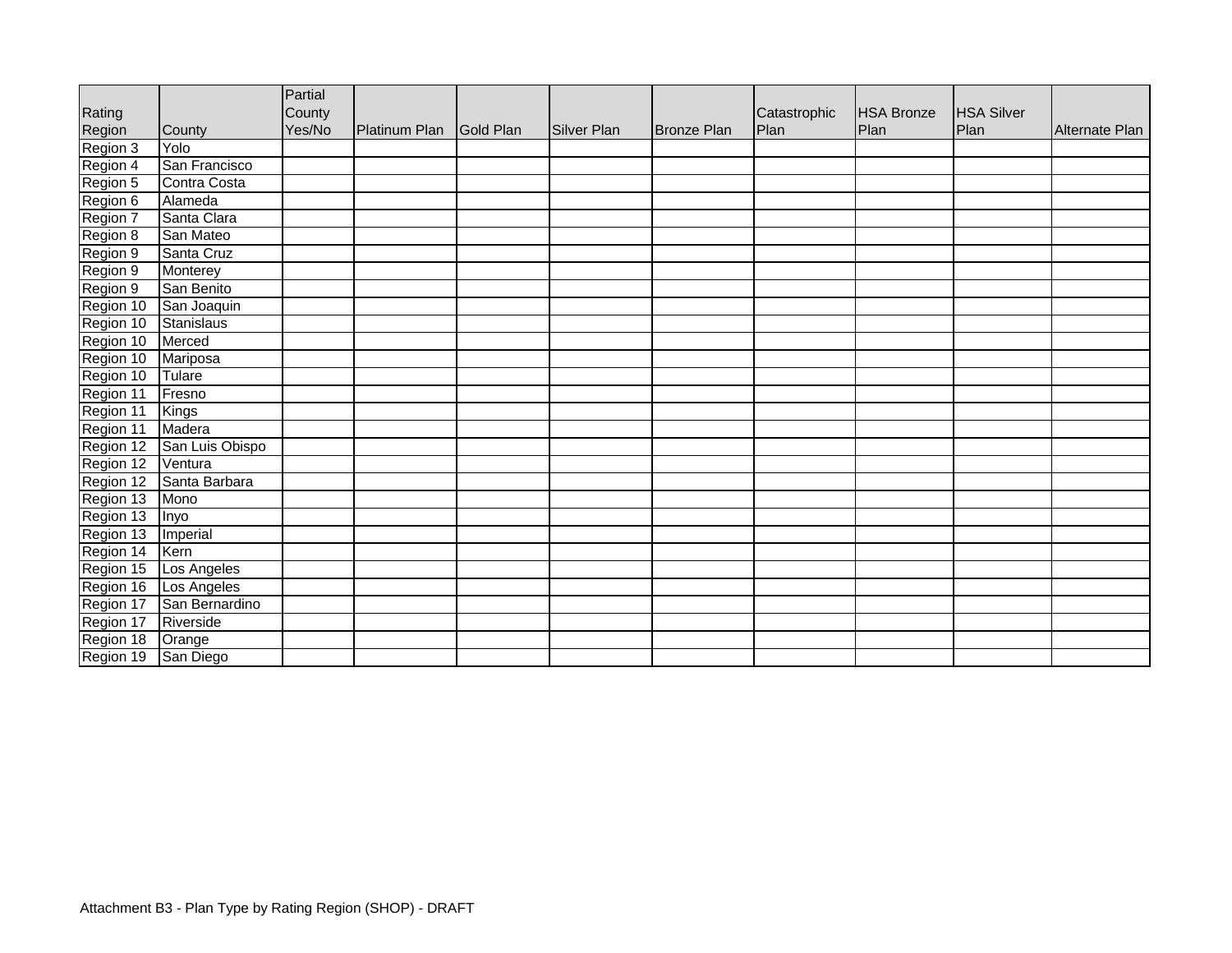|           |                 | Partial |                         |                    |                    |              |                   |                   |                |
|-----------|-----------------|---------|-------------------------|--------------------|--------------------|--------------|-------------------|-------------------|----------------|
| Rating    |                 | County  |                         |                    |                    | Catastrophic | <b>HSA Bronze</b> | <b>HSA Silver</b> |                |
| Region    | County          | Yes/No  | Platinum Plan Gold Plan | <b>Silver Plan</b> | <b>Bronze Plan</b> | Plan         | Plan              | Plan              | Alternate Plan |
| Region 3  | Yolo            |         |                         |                    |                    |              |                   |                   |                |
| Region 4  | San Francisco   |         |                         |                    |                    |              |                   |                   |                |
| Region 5  | Contra Costa    |         |                         |                    |                    |              |                   |                   |                |
| Region 6  | Alameda         |         |                         |                    |                    |              |                   |                   |                |
| Region 7  | Santa Clara     |         |                         |                    |                    |              |                   |                   |                |
| Region 8  | San Mateo       |         |                         |                    |                    |              |                   |                   |                |
| Region 9  | Santa Cruz      |         |                         |                    |                    |              |                   |                   |                |
| Region 9  | Monterey        |         |                         |                    |                    |              |                   |                   |                |
| Region 9  | San Benito      |         |                         |                    |                    |              |                   |                   |                |
| Region 10 | San Joaquin     |         |                         |                    |                    |              |                   |                   |                |
| Region 10 | Stanislaus      |         |                         |                    |                    |              |                   |                   |                |
| Region 10 | Merced          |         |                         |                    |                    |              |                   |                   |                |
| Region 10 | Mariposa        |         |                         |                    |                    |              |                   |                   |                |
| Region 10 | Tulare          |         |                         |                    |                    |              |                   |                   |                |
| Region 11 | Fresno          |         |                         |                    |                    |              |                   |                   |                |
| Region 11 | Kings           |         |                         |                    |                    |              |                   |                   |                |
| Region 11 | Madera          |         |                         |                    |                    |              |                   |                   |                |
| Region 12 | San Luis Obispo |         |                         |                    |                    |              |                   |                   |                |
| Region 12 | Ventura         |         |                         |                    |                    |              |                   |                   |                |
| Region 12 | Santa Barbara   |         |                         |                    |                    |              |                   |                   |                |
| Region 13 | Mono            |         |                         |                    |                    |              |                   |                   |                |
| Region 13 | Inyo            |         |                         |                    |                    |              |                   |                   |                |
| Region 13 | Imperial        |         |                         |                    |                    |              |                   |                   |                |
| Region 14 | Kern            |         |                         |                    |                    |              |                   |                   |                |
| Region 15 | Los Angeles     |         |                         |                    |                    |              |                   |                   |                |
| Region 16 | Los Angeles     |         |                         |                    |                    |              |                   |                   |                |
| Region 17 | San Bernardino  |         |                         |                    |                    |              |                   |                   |                |
| Region 17 | Riverside       |         |                         |                    |                    |              |                   |                   |                |
| Region 18 | Orange          |         |                         |                    |                    |              |                   |                   |                |
| Region 19 | San Diego       |         |                         |                    |                    |              |                   |                   |                |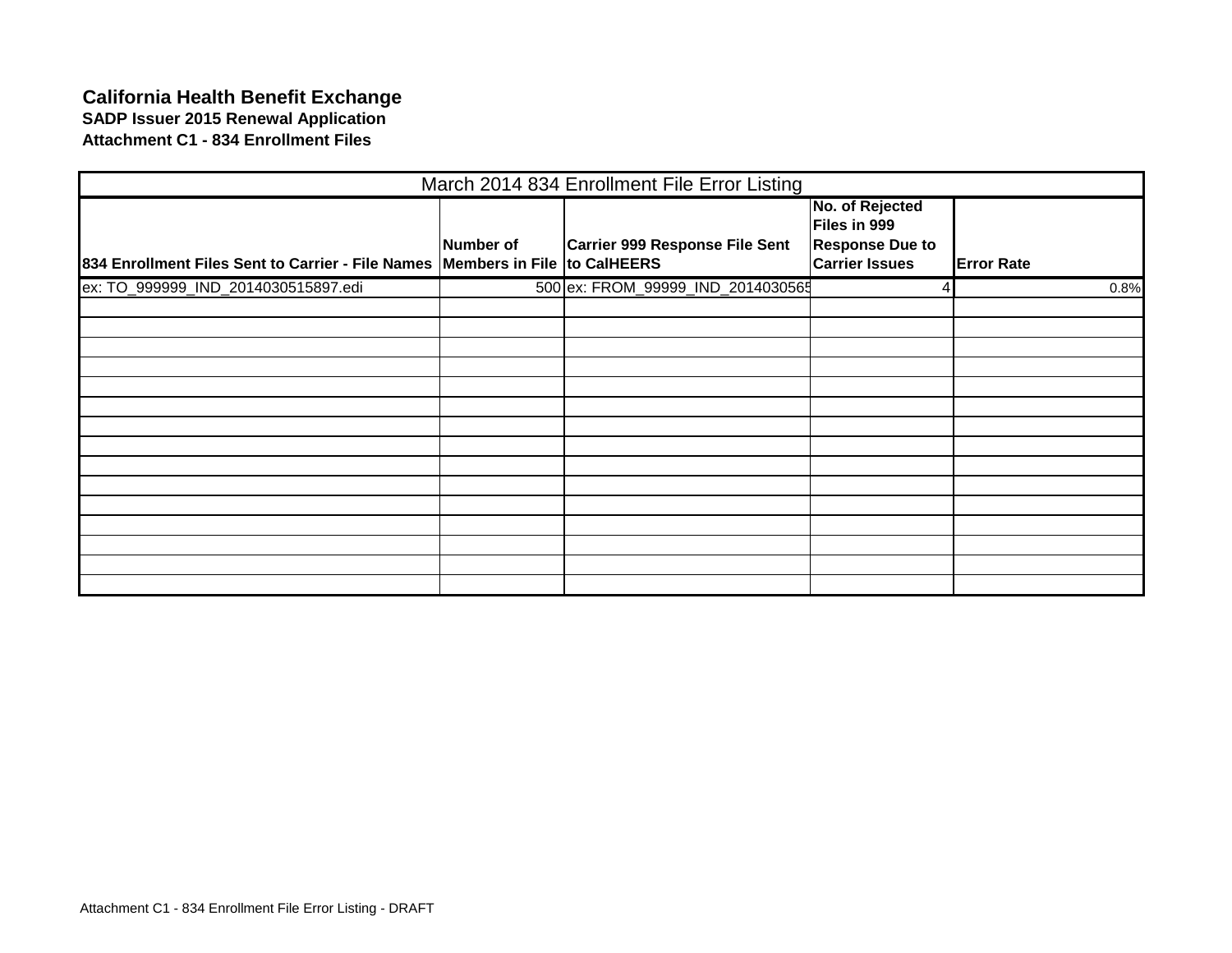### **California Health Benefit Exchange SADP Issuer 2015 Renewal Application Attachment C1 - 834 Enrollment Files**

|                                                                               |                  | March 2014 834 Enrollment File Error Listing |                                                           |                   |
|-------------------------------------------------------------------------------|------------------|----------------------------------------------|-----------------------------------------------------------|-------------------|
|                                                                               | <b>Number of</b> | Carrier 999 Response File Sent               | No. of Rejected<br>Files in 999<br><b>Response Due to</b> |                   |
| 834 Enrollment Files Sent to Carrier - File Names Members in File to CalHEERS |                  |                                              | <b>Carrier Issues</b>                                     | <b>Error Rate</b> |
| ex: TO_999999_IND_2014030515897.edi                                           |                  | 500 ex: FROM_99999_IND_2014030565            |                                                           | 0.8%              |
|                                                                               |                  |                                              |                                                           |                   |
|                                                                               |                  |                                              |                                                           |                   |
|                                                                               |                  |                                              |                                                           |                   |
|                                                                               |                  |                                              |                                                           |                   |
|                                                                               |                  |                                              |                                                           |                   |
|                                                                               |                  |                                              |                                                           |                   |
|                                                                               |                  |                                              |                                                           |                   |
|                                                                               |                  |                                              |                                                           |                   |
|                                                                               |                  |                                              |                                                           |                   |
|                                                                               |                  |                                              |                                                           |                   |
|                                                                               |                  |                                              |                                                           |                   |
|                                                                               |                  |                                              |                                                           |                   |
|                                                                               |                  |                                              |                                                           |                   |
|                                                                               |                  |                                              |                                                           |                   |
|                                                                               |                  |                                              |                                                           |                   |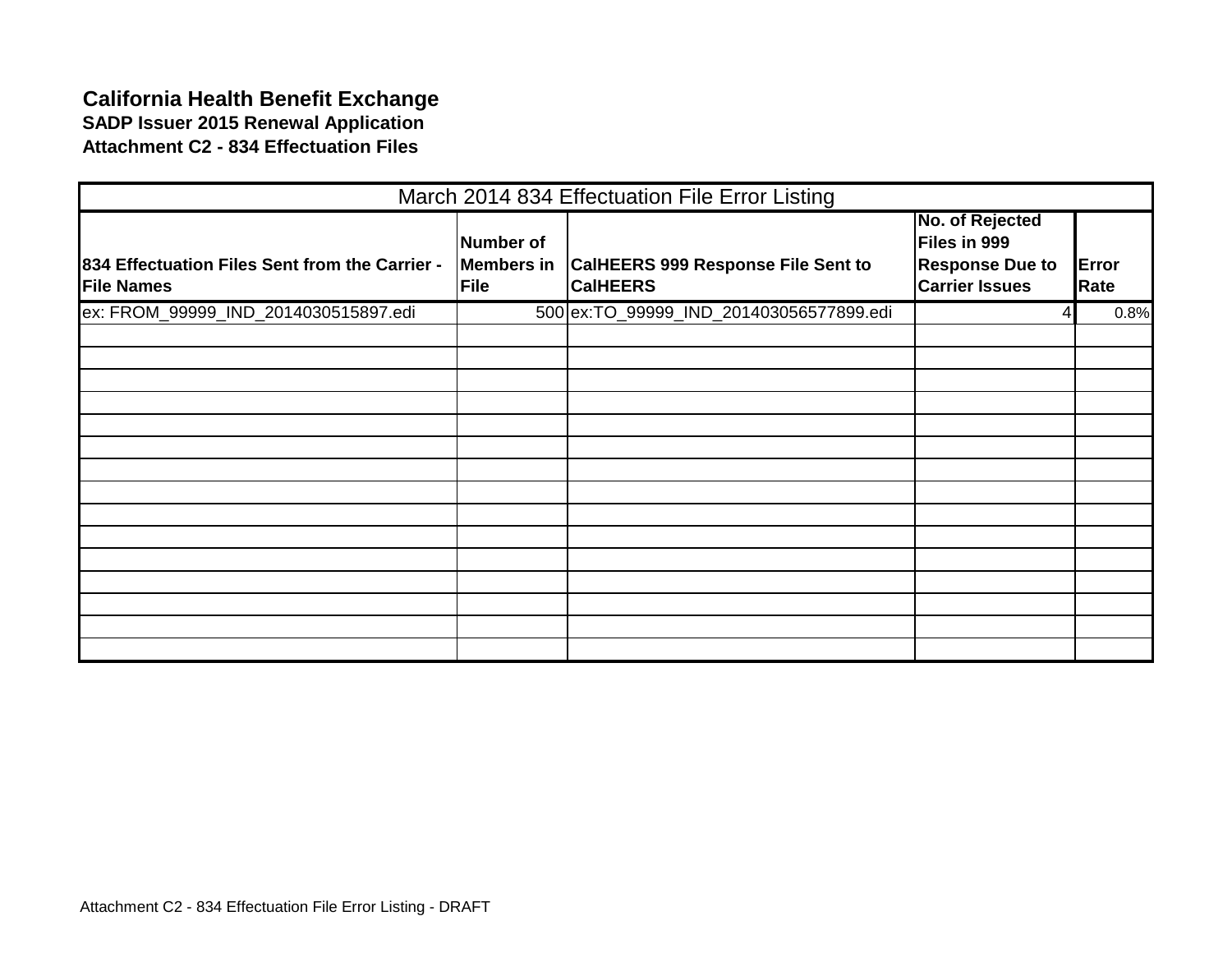### **California Health Benefit Exchange SADP Issuer 2015 Renewal Application Attachment C2 - 834 Effectuation Files**

|                                                                     |                                               | March 2014 834 Effectuation File Error Listing               |                                                                                    |               |
|---------------------------------------------------------------------|-----------------------------------------------|--------------------------------------------------------------|------------------------------------------------------------------------------------|---------------|
| 834 Effectuation Files Sent from the Carrier -<br><b>File Names</b> | Number of<br><b>Members in</b><br><b>File</b> | <b>CalHEERS 999 Response File Sent to</b><br><b>CalHEERS</b> | No. of Rejected<br>Files in 999<br><b>Response Due to</b><br><b>Carrier Issues</b> | Error<br>Rate |
| ex: FROM_99999_IND_2014030515897.edi                                |                                               | 500 ex:TO_99999_IND_201403056577899.edi                      |                                                                                    | 0.8%          |
|                                                                     |                                               |                                                              |                                                                                    |               |
|                                                                     |                                               |                                                              |                                                                                    |               |
|                                                                     |                                               |                                                              |                                                                                    |               |
|                                                                     |                                               |                                                              |                                                                                    |               |
|                                                                     |                                               |                                                              |                                                                                    |               |
|                                                                     |                                               |                                                              |                                                                                    |               |
|                                                                     |                                               |                                                              |                                                                                    |               |
|                                                                     |                                               |                                                              |                                                                                    |               |
|                                                                     |                                               |                                                              |                                                                                    |               |
|                                                                     |                                               |                                                              |                                                                                    |               |
|                                                                     |                                               |                                                              |                                                                                    |               |
|                                                                     |                                               |                                                              |                                                                                    |               |
|                                                                     |                                               |                                                              |                                                                                    |               |
|                                                                     |                                               |                                                              |                                                                                    |               |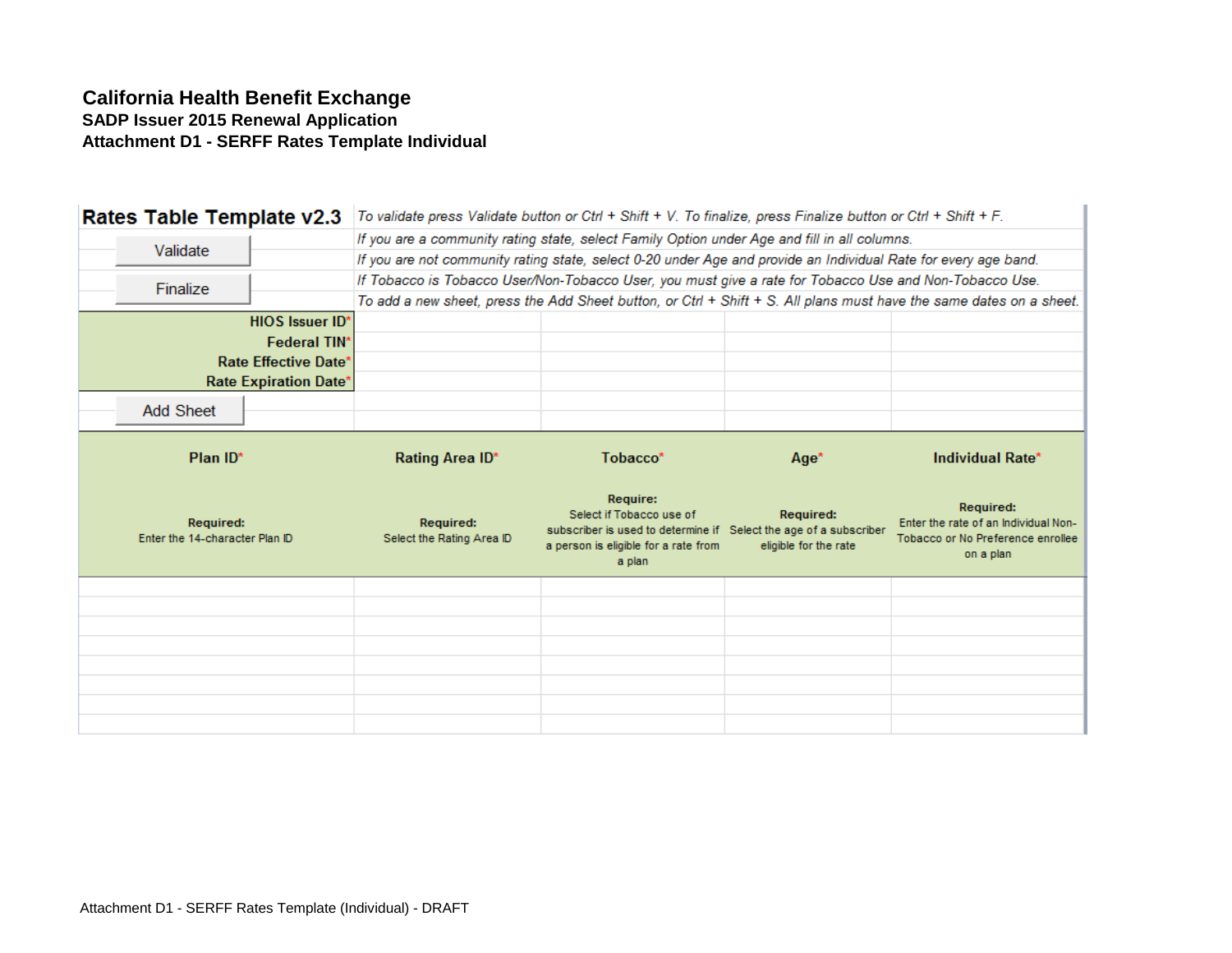### **California Health Benefit Exchange SADP Issuer 2015 Renewal Application Attachment D1 - SERFF Rates Template Individual**

| Rates Table Template v2.3                          |                              | To validate press Validate button or Ctrl + Shift + V. To finalize, press Finalize button or Ctrl + Shift + F.  |                                                                                                                                                             |                                           |                                                                                                                     |
|----------------------------------------------------|------------------------------|-----------------------------------------------------------------------------------------------------------------|-------------------------------------------------------------------------------------------------------------------------------------------------------------|-------------------------------------------|---------------------------------------------------------------------------------------------------------------------|
|                                                    |                              | If you are a community rating state, select Family Option under Age and fill in all columns.                    |                                                                                                                                                             |                                           |                                                                                                                     |
| Validate                                           |                              | If you are not community rating state, select 0-20 under Age and provide an Individual Rate for every age band. |                                                                                                                                                             |                                           |                                                                                                                     |
| Finalize                                           |                              | If Tobacco is Tobacco User/Non-Tobacco User, you must give a rate for Tobacco Use and Non-Tobacco Use.          |                                                                                                                                                             |                                           |                                                                                                                     |
|                                                    |                              |                                                                                                                 |                                                                                                                                                             |                                           | To add a new sheet, press the Add Sheet button, or Ctrl + Shift + S. All plans must have the same dates on a sheet. |
|                                                    | <b>HIOS Issuer ID*</b>       |                                                                                                                 |                                                                                                                                                             |                                           |                                                                                                                     |
|                                                    | <b>Federal TIN*</b>          |                                                                                                                 |                                                                                                                                                             |                                           |                                                                                                                     |
|                                                    | Rate Effective Date'         |                                                                                                                 |                                                                                                                                                             |                                           |                                                                                                                     |
|                                                    | <b>Rate Expiration Date*</b> |                                                                                                                 |                                                                                                                                                             |                                           |                                                                                                                     |
| <b>Add Sheet</b>                                   |                              |                                                                                                                 |                                                                                                                                                             |                                           |                                                                                                                     |
|                                                    |                              |                                                                                                                 |                                                                                                                                                             |                                           |                                                                                                                     |
| Plan ID*                                           |                              | Rating Area ID*                                                                                                 | Tobacco*                                                                                                                                                    | Age*                                      | Individual Rate*                                                                                                    |
|                                                    |                              |                                                                                                                 |                                                                                                                                                             |                                           |                                                                                                                     |
| <b>Required:</b><br>Enter the 14-character Plan ID |                              | <b>Required:</b><br>Select the Rating Area ID                                                                   | Require:<br>Select if Tobacco use of<br>subscriber is used to determine if Select the age of a subscriber<br>a person is eligible for a rate from<br>a plan | <b>Required:</b><br>eligible for the rate | Required:<br>Enter the rate of an Individual Non-<br>Tobacco or No Preference enrollee<br>on a plan                 |
|                                                    |                              |                                                                                                                 |                                                                                                                                                             |                                           |                                                                                                                     |
|                                                    |                              |                                                                                                                 |                                                                                                                                                             |                                           |                                                                                                                     |
|                                                    |                              |                                                                                                                 |                                                                                                                                                             |                                           |                                                                                                                     |
|                                                    |                              |                                                                                                                 |                                                                                                                                                             |                                           |                                                                                                                     |
|                                                    |                              |                                                                                                                 |                                                                                                                                                             |                                           |                                                                                                                     |
|                                                    |                              |                                                                                                                 |                                                                                                                                                             |                                           |                                                                                                                     |
|                                                    |                              |                                                                                                                 |                                                                                                                                                             |                                           |                                                                                                                     |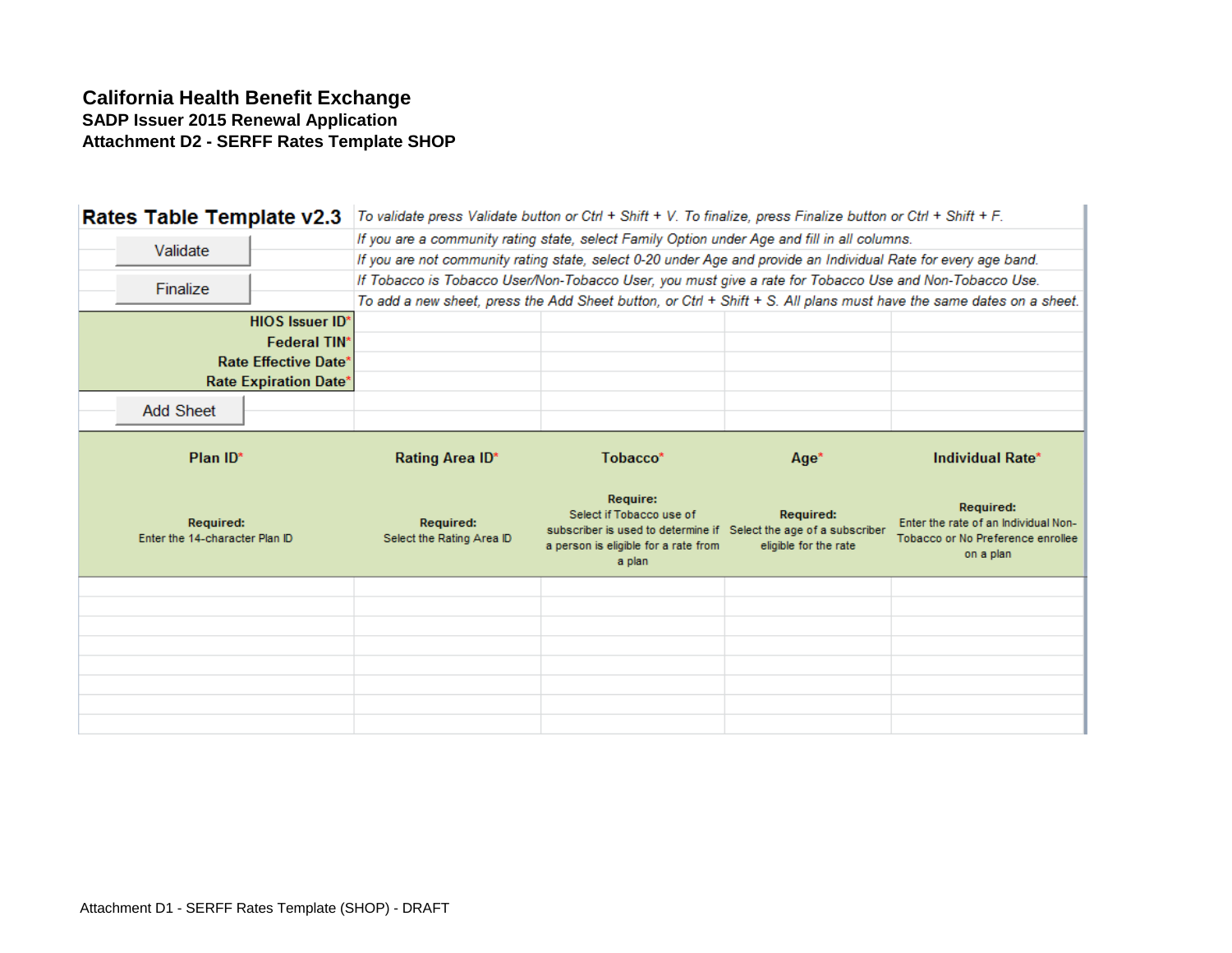### **California Health Benefit Exchange SADP Issuer 2015 Renewal Application Attachment D2 - SERFF Rates Template SHOP**

| Rates Table Template v2.3                          |                        | To validate press Validate button or Ctrl + Shift + V. To finalize, press Finalize button or Ctrl + Shift + F.  |                                                                                                                                                             |                                           |                                                                                                                     |
|----------------------------------------------------|------------------------|-----------------------------------------------------------------------------------------------------------------|-------------------------------------------------------------------------------------------------------------------------------------------------------------|-------------------------------------------|---------------------------------------------------------------------------------------------------------------------|
|                                                    |                        | If you are a community rating state, select Family Option under Age and fill in all columns.                    |                                                                                                                                                             |                                           |                                                                                                                     |
| Validate                                           |                        | If you are not community rating state, select 0-20 under Age and provide an Individual Rate for every age band. |                                                                                                                                                             |                                           |                                                                                                                     |
| Finalize                                           |                        | If Tobacco is Tobacco User/Non-Tobacco User, you must give a rate for Tobacco Use and Non-Tobacco Use.          |                                                                                                                                                             |                                           |                                                                                                                     |
|                                                    |                        |                                                                                                                 |                                                                                                                                                             |                                           | To add a new sheet, press the Add Sheet button, or Ctrl + Shift + S. All plans must have the same dates on a sheet. |
|                                                    | <b>HIOS Issuer ID*</b> |                                                                                                                 |                                                                                                                                                             |                                           |                                                                                                                     |
|                                                    | <b>Federal TIN*</b>    |                                                                                                                 |                                                                                                                                                             |                                           |                                                                                                                     |
|                                                    | Rate Effective Date'   |                                                                                                                 |                                                                                                                                                             |                                           |                                                                                                                     |
|                                                    | Rate Expiration Date*  |                                                                                                                 |                                                                                                                                                             |                                           |                                                                                                                     |
| <b>Add Sheet</b>                                   |                        |                                                                                                                 |                                                                                                                                                             |                                           |                                                                                                                     |
|                                                    |                        |                                                                                                                 |                                                                                                                                                             |                                           |                                                                                                                     |
| Plan ID*                                           |                        | Rating Area ID*                                                                                                 | Tobacco*                                                                                                                                                    | Age*                                      | Individual Rate*                                                                                                    |
|                                                    |                        |                                                                                                                 |                                                                                                                                                             |                                           |                                                                                                                     |
| <b>Required:</b><br>Enter the 14-character Plan ID |                        | <b>Required:</b><br>Select the Rating Area ID                                                                   | Require:<br>Select if Tobacco use of<br>subscriber is used to determine if Select the age of a subscriber<br>a person is eligible for a rate from<br>a plan | <b>Required:</b><br>eligible for the rate | Required:<br>Enter the rate of an Individual Non-<br>Tobacco or No Preference enrollee<br>on a plan                 |
|                                                    |                        |                                                                                                                 |                                                                                                                                                             |                                           |                                                                                                                     |
|                                                    |                        |                                                                                                                 |                                                                                                                                                             |                                           |                                                                                                                     |
|                                                    |                        |                                                                                                                 |                                                                                                                                                             |                                           |                                                                                                                     |
|                                                    |                        |                                                                                                                 |                                                                                                                                                             |                                           |                                                                                                                     |
|                                                    |                        |                                                                                                                 |                                                                                                                                                             |                                           |                                                                                                                     |
|                                                    |                        |                                                                                                                 |                                                                                                                                                             |                                           |                                                                                                                     |
|                                                    |                        |                                                                                                                 |                                                                                                                                                             |                                           |                                                                                                                     |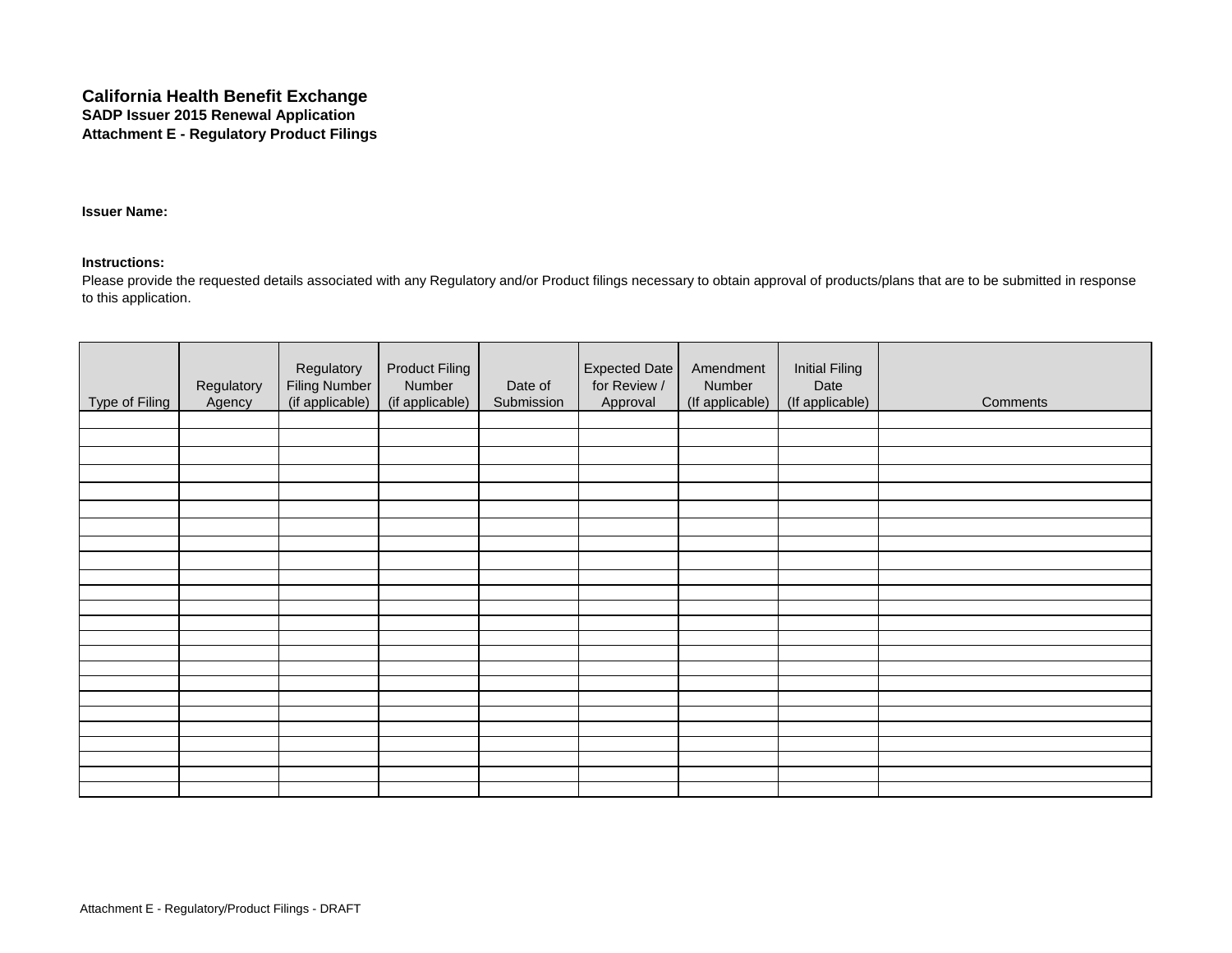#### **California Health Benefit Exchange SADP Issuer 2015 Renewal Application Attachment E - Regulatory Product Filings**

#### **Issuer Name:**

#### **Instructions:**

Please provide the requested details associated with any Regulatory and/or Product filings necessary to obtain approval of products/plans that are to be submitted in response to this application.

| Type of Filing | Regulatory<br>Agency | Regulatory<br><b>Filing Number</b><br>(if applicable) | <b>Product Filing</b><br>Number<br>(if applicable) | Date of<br>Submission | Expected Date<br>for Review /<br>Approval | Amendment<br>Number<br>(If applicable) | <b>Initial Filing</b><br>Date<br>(If applicable) | Comments |
|----------------|----------------------|-------------------------------------------------------|----------------------------------------------------|-----------------------|-------------------------------------------|----------------------------------------|--------------------------------------------------|----------|
|                |                      |                                                       |                                                    |                       |                                           |                                        |                                                  |          |
|                |                      |                                                       |                                                    |                       |                                           |                                        |                                                  |          |
|                |                      |                                                       |                                                    |                       |                                           |                                        |                                                  |          |
|                |                      |                                                       |                                                    |                       |                                           |                                        |                                                  |          |
|                |                      |                                                       |                                                    |                       |                                           |                                        |                                                  |          |
|                |                      |                                                       |                                                    |                       |                                           |                                        |                                                  |          |
|                |                      |                                                       |                                                    |                       |                                           |                                        |                                                  |          |
|                |                      |                                                       |                                                    |                       |                                           |                                        |                                                  |          |
|                |                      |                                                       |                                                    |                       |                                           |                                        |                                                  |          |
|                |                      |                                                       |                                                    |                       |                                           |                                        |                                                  |          |
|                |                      |                                                       |                                                    |                       |                                           |                                        |                                                  |          |
|                |                      |                                                       |                                                    |                       |                                           |                                        |                                                  |          |
|                |                      |                                                       |                                                    |                       |                                           |                                        |                                                  |          |
|                |                      |                                                       |                                                    |                       |                                           |                                        |                                                  |          |
|                |                      |                                                       |                                                    |                       |                                           |                                        |                                                  |          |
|                |                      |                                                       |                                                    |                       |                                           |                                        |                                                  |          |
|                |                      |                                                       |                                                    |                       |                                           |                                        |                                                  |          |
|                |                      |                                                       |                                                    |                       |                                           |                                        |                                                  |          |
|                |                      |                                                       |                                                    |                       |                                           |                                        |                                                  |          |
|                |                      |                                                       |                                                    |                       |                                           |                                        |                                                  |          |
|                |                      |                                                       |                                                    |                       |                                           |                                        |                                                  |          |
|                |                      |                                                       |                                                    |                       |                                           |                                        |                                                  |          |
|                |                      |                                                       |                                                    |                       |                                           |                                        |                                                  |          |
|                |                      |                                                       |                                                    |                       |                                           |                                        |                                                  |          |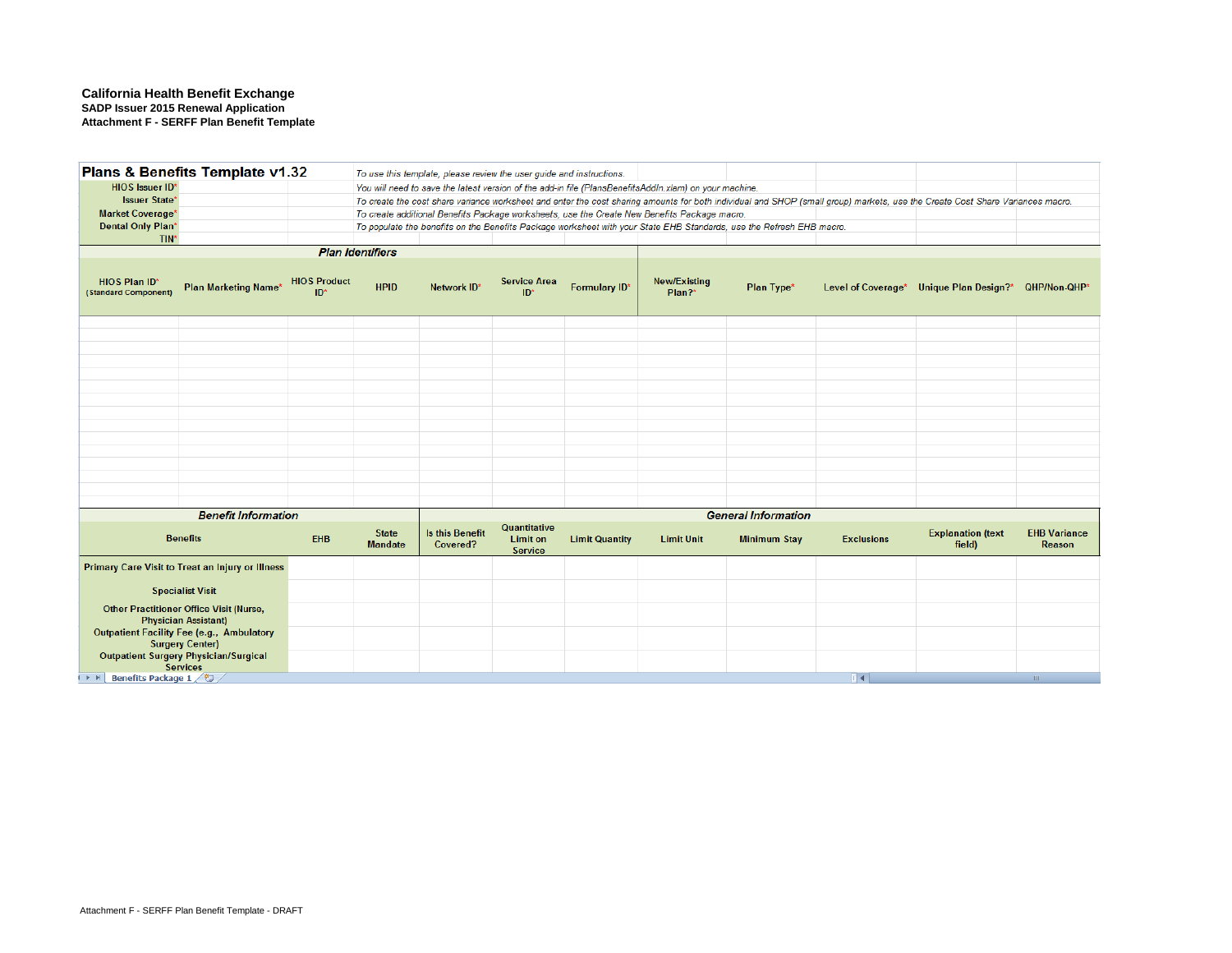#### **California Health Benefit Exchange SADP Issuer 2015 Renewal Application Attachment F - SERFF Plan Benefit Template**

| <b>HIOS Issuer ID*</b>                       | Plans & Benefits Template v1.32                                               |                              |                                | To use this template, please review the user guide and instructions. |                                                   |                       | You will need to save the latest version of the add-in file (PlansBenefitsAddIn.xlam) on your machine. |                                                                                                                      |                   |                                                                                                                                                                               |                               |
|----------------------------------------------|-------------------------------------------------------------------------------|------------------------------|--------------------------------|----------------------------------------------------------------------|---------------------------------------------------|-----------------------|--------------------------------------------------------------------------------------------------------|----------------------------------------------------------------------------------------------------------------------|-------------------|-------------------------------------------------------------------------------------------------------------------------------------------------------------------------------|-------------------------------|
| <b>Issuer State*</b>                         |                                                                               |                              |                                |                                                                      |                                                   |                       |                                                                                                        |                                                                                                                      |                   | To create the cost share variance worksheet and enter the cost sharing amounts for both individual and SHOP (small group) markets, use the Create Cost Share Variances macro. |                               |
| <b>Market Coverage*</b>                      |                                                                               |                              |                                |                                                                      |                                                   |                       | To create additional Benefits Package worksheets, use the Create New Benefits Package macro.           |                                                                                                                      |                   |                                                                                                                                                                               |                               |
| <b>Dental Only Plan*</b>                     |                                                                               |                              |                                |                                                                      |                                                   |                       |                                                                                                        | To populate the benefits on the Benefits Package worksheet with your State EHB Standards, use the Refresh EHB macro. |                   |                                                                                                                                                                               |                               |
| TIN*                                         |                                                                               |                              |                                |                                                                      |                                                   |                       |                                                                                                        |                                                                                                                      |                   |                                                                                                                                                                               |                               |
|                                              |                                                                               |                              | <b>Plan Identifiers</b>        |                                                                      |                                                   |                       |                                                                                                        |                                                                                                                      |                   |                                                                                                                                                                               |                               |
| <b>HIOS Plan ID*</b><br>(Standard Component) | <b>Plan Marketing Name*</b>                                                   | <b>HIOS Product</b><br>$ID*$ | <b>HPID</b>                    | Network ID*                                                          | <b>Service Area</b><br>ID*                        | Formulary ID*         | <b>New/Existing</b><br>Plan?*                                                                          | Plan Type*                                                                                                           |                   | Level of Coverage* Unique Plan Design?* QHP/Non-QHP*                                                                                                                          |                               |
|                                              |                                                                               |                              |                                |                                                                      |                                                   |                       |                                                                                                        |                                                                                                                      |                   |                                                                                                                                                                               |                               |
|                                              |                                                                               |                              |                                |                                                                      |                                                   |                       |                                                                                                        |                                                                                                                      |                   |                                                                                                                                                                               |                               |
|                                              |                                                                               |                              |                                |                                                                      |                                                   |                       |                                                                                                        |                                                                                                                      |                   |                                                                                                                                                                               |                               |
|                                              |                                                                               |                              |                                |                                                                      |                                                   |                       |                                                                                                        |                                                                                                                      |                   |                                                                                                                                                                               |                               |
|                                              |                                                                               |                              |                                |                                                                      |                                                   |                       |                                                                                                        |                                                                                                                      |                   |                                                                                                                                                                               |                               |
|                                              |                                                                               |                              |                                |                                                                      |                                                   |                       |                                                                                                        |                                                                                                                      |                   |                                                                                                                                                                               |                               |
|                                              |                                                                               |                              |                                |                                                                      |                                                   |                       |                                                                                                        |                                                                                                                      |                   |                                                                                                                                                                               |                               |
|                                              |                                                                               |                              |                                |                                                                      |                                                   |                       |                                                                                                        |                                                                                                                      |                   |                                                                                                                                                                               |                               |
|                                              |                                                                               |                              |                                |                                                                      |                                                   |                       |                                                                                                        |                                                                                                                      |                   |                                                                                                                                                                               |                               |
|                                              |                                                                               |                              |                                |                                                                      |                                                   |                       |                                                                                                        |                                                                                                                      |                   |                                                                                                                                                                               |                               |
|                                              |                                                                               |                              |                                |                                                                      |                                                   |                       |                                                                                                        |                                                                                                                      |                   |                                                                                                                                                                               |                               |
|                                              |                                                                               |                              |                                |                                                                      |                                                   |                       |                                                                                                        |                                                                                                                      |                   |                                                                                                                                                                               |                               |
|                                              |                                                                               |                              |                                |                                                                      |                                                   |                       |                                                                                                        |                                                                                                                      |                   |                                                                                                                                                                               |                               |
|                                              | <b>Benefit Information</b>                                                    |                              |                                |                                                                      |                                                   |                       |                                                                                                        | <b>General Information</b>                                                                                           |                   |                                                                                                                                                                               |                               |
|                                              | <b>Benefits</b>                                                               | <b>EHB</b>                   | <b>State</b><br><b>Mandate</b> | Is this Benefit<br>Covered?                                          | Quantitative<br><b>Limit on</b><br><b>Service</b> | <b>Limit Quantity</b> | <b>Limit Unit</b>                                                                                      | <b>Minimum Stay</b>                                                                                                  | <b>Exclusions</b> | <b>Explanation (text</b><br>field)                                                                                                                                            | <b>EHB Variance</b><br>Reason |
|                                              | Primary Care Visit to Treat an Injury or Illness                              |                              |                                |                                                                      |                                                   |                       |                                                                                                        |                                                                                                                      |                   |                                                                                                                                                                               |                               |
|                                              | <b>Specialist Visit</b>                                                       |                              |                                |                                                                      |                                                   |                       |                                                                                                        |                                                                                                                      |                   |                                                                                                                                                                               |                               |
|                                              | <b>Other Practitioner Office Visit (Nurse,</b><br><b>Physician Assistant)</b> |                              |                                |                                                                      |                                                   |                       |                                                                                                        |                                                                                                                      |                   |                                                                                                                                                                               |                               |
|                                              | <b>Outpatient Facility Fee (e.g., Ambulatory</b>                              |                              |                                |                                                                      |                                                   |                       |                                                                                                        |                                                                                                                      |                   |                                                                                                                                                                               |                               |
|                                              | <b>Surgery Center)</b>                                                        |                              |                                |                                                                      |                                                   |                       |                                                                                                        |                                                                                                                      |                   |                                                                                                                                                                               |                               |
|                                              | <b>Outpatient Surgery Physician/Surgical</b><br><b>Services</b>               |                              |                                |                                                                      |                                                   |                       |                                                                                                        |                                                                                                                      |                   |                                                                                                                                                                               |                               |
| <b>DESPERSED BENEFIT BENEFIT AT PLACE</b>    |                                                                               |                              |                                |                                                                      |                                                   |                       |                                                                                                        |                                                                                                                      | T 4 I             |                                                                                                                                                                               | $\mathbb{H}$                  |